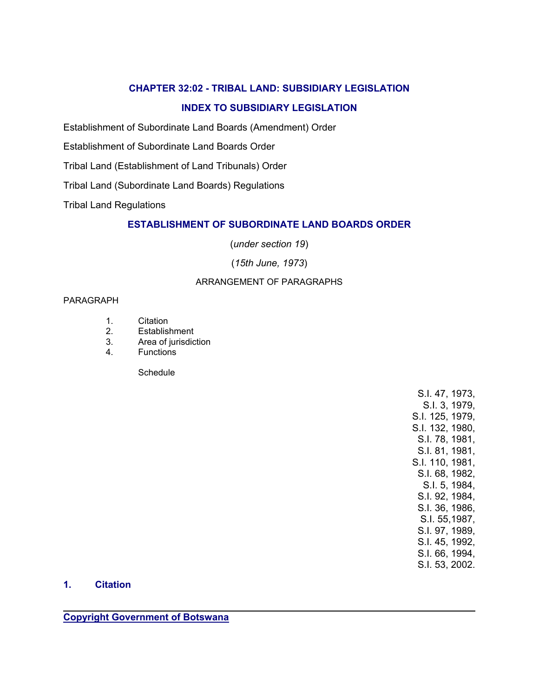# **CHAPTER 32:02 - TRIBAL LAND: SUBSIDIARY LEGISLATION**

# **INDEX TO SUBSIDIARY LEGISLATION**

Establishment of Subordinate Land Boards (Amendment) Order

Establishment of Subordinate Land Boards Order

Tribal Land (Establishment of Land Tribunals) Order

Tribal Land (Subordinate Land Boards) Regulations

Tribal Land Regulations

# **ESTABLISHMENT OF SUBORDINATE LAND BOARDS ORDER**

(*under section 19*)

(*15th June, 1973*)

# ARRANGEMENT OF PARAGRAPHS

#### PARAGRAPH

- 1. Citation
- 2. Establishment
- 3. Area of jurisdiction
- 4. Functions

Schedule

S.I. 47, 1973, S.I. 3, 1979, S.I. 125, 1979, S.I. 132, 1980, S.I. 78, 1981, S.I. 81, 1981, S.I. 110, 1981, S.I. 68, 1982, S.I. 5, 1984, S.I. 92, 1984, S.I. 36, 1986, S.I. 55,1987, S.I. 97, 1989, S.I. 45, 1992, S.I. 66, 1994, S.I. 53, 2002.

#### **1. Citation**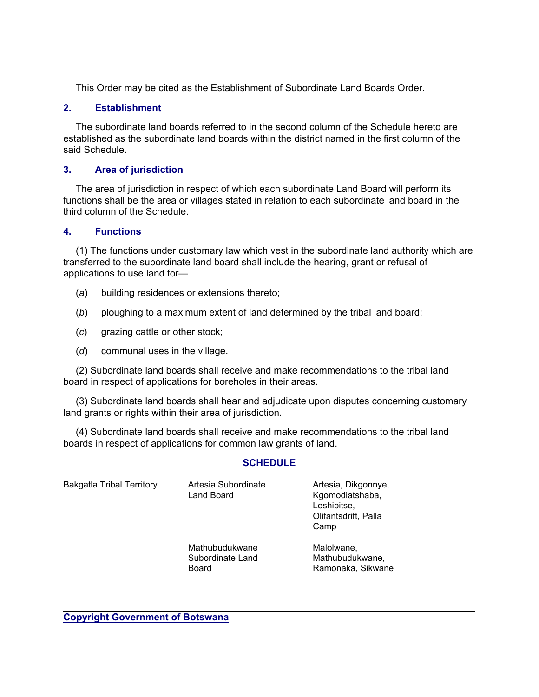This Order may be cited as the Establishment of Subordinate Land Boards Order.

# **2. Establishment**

 The subordinate land boards referred to in the second column of the Schedule hereto are established as the subordinate land boards within the district named in the first column of the said Schedule.

# **3. Area of jurisdiction**

 The area of jurisdiction in respect of which each subordinate Land Board will perform its functions shall be the area or villages stated in relation to each subordinate land board in the third column of the Schedule.

#### **4. Functions**

 (1) The functions under customary law which vest in the subordinate land authority which are transferred to the subordinate land board shall include the hearing, grant or refusal of applications to use land for—

- (*a*) building residences or extensions thereto;
- (*b*) ploughing to a maximum extent of land determined by the tribal land board;
- (*c*) grazing cattle or other stock;
- (*d*) communal uses in the village.

 (2) Subordinate land boards shall receive and make recommendations to the tribal land board in respect of applications for boreholes in their areas.

 (3) Subordinate land boards shall hear and adjudicate upon disputes concerning customary land grants or rights within their area of jurisdiction.

 (4) Subordinate land boards shall receive and make recommendations to the tribal land boards in respect of applications for common law grants of land.

#### **SCHEDULE**

| <b>Bakgatla Tribal Territory</b> | Artesia Subordinate<br>Land Board                  | Artesia, Dikgonnye,<br>Kgomodiatshaba,<br>Leshibitse,<br>Olifantsdrift, Palla<br>Camp |
|----------------------------------|----------------------------------------------------|---------------------------------------------------------------------------------------|
|                                  | Mathubudukwane<br>Subordinate Land<br><b>Board</b> | Malolwane,<br>Mathubudukwane,<br>Ramonaka, Sikwane                                    |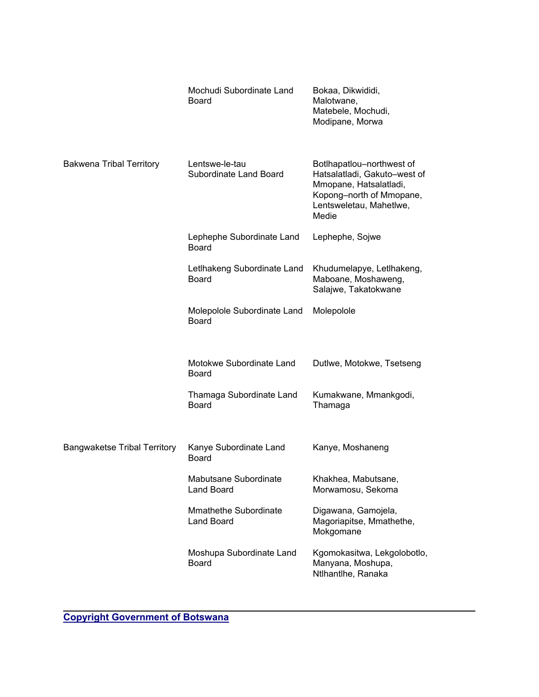|                                     | Mochudi Subordinate Land<br>Board           | Bokaa, Dikwididi,<br>Malotwane,<br>Matebele, Mochudi,<br>Modipane, Morwa                                                                            |
|-------------------------------------|---------------------------------------------|-----------------------------------------------------------------------------------------------------------------------------------------------------|
| <b>Bakwena Tribal Territory</b>     | Lentswe-le-tau<br>Subordinate Land Board    | Botlhapatlou-northwest of<br>Hatsalatladi, Gakuto-west of<br>Mmopane, Hatsalatladi,<br>Kopong-north of Mmopane,<br>Lentsweletau, Mahetlwe,<br>Medie |
|                                     | Lephephe Subordinate Land<br><b>Board</b>   | Lephephe, Sojwe                                                                                                                                     |
|                                     | LetIhakeng Subordinate Land<br><b>Board</b> | Khudumelapye, Letlhakeng,<br>Maboane, Moshaweng,<br>Salajwe, Takatokwane                                                                            |
|                                     | Molepolole Subordinate Land<br><b>Board</b> | Molepolole                                                                                                                                          |
|                                     | Motokwe Subordinate Land<br><b>Board</b>    | Dutlwe, Motokwe, Tsetseng                                                                                                                           |
|                                     | Thamaga Subordinate Land<br><b>Board</b>    | Kumakwane, Mmankgodi,<br>Thamaga                                                                                                                    |
| <b>Bangwaketse Tribal Territory</b> | Kanye Subordinate Land<br><b>Board</b>      | Kanye, Moshaneng                                                                                                                                    |
|                                     | Mabutsane Subordinate<br>Land Board         | Khakhea, Mabutsane,<br>Morwamosu, Sekoma                                                                                                            |
|                                     | Mmathethe Subordinate<br><b>Land Board</b>  | Digawana, Gamojela,<br>Magoriapitse, Mmathethe,<br>Mokgomane                                                                                        |
|                                     | Moshupa Subordinate Land<br><b>Board</b>    | Kgomokasitwa, Lekgolobotlo,<br>Manyana, Moshupa,<br>Ntlhantlhe, Ranaka                                                                              |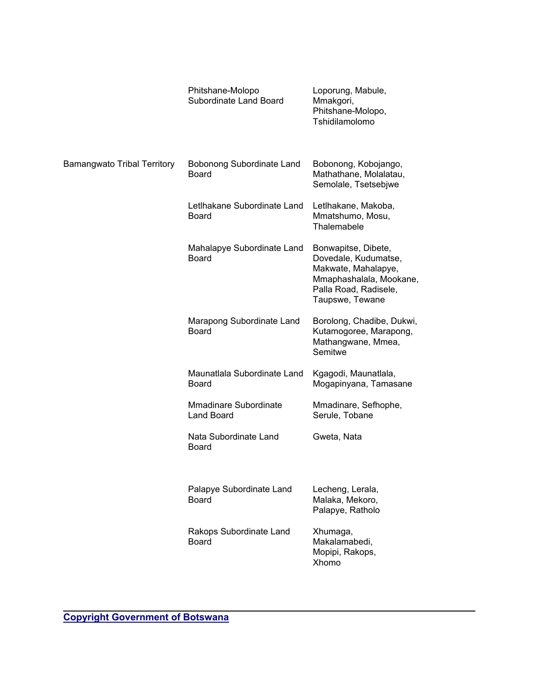|                                    | Phitshane-Molopo<br>Subordinate Land Board  | Loporung, Mabule,<br>Mmakgori,<br>Phitshane-Molopo,<br>Tshidilamolomo                                                                     |
|------------------------------------|---------------------------------------------|-------------------------------------------------------------------------------------------------------------------------------------------|
| <b>Bamangwato Tribal Territory</b> | Bobonong Subordinate Land<br><b>Board</b>   | Bobonong, Kobojango,<br>Mathathane, Molalatau,<br>Semolale, Tsetsebjwe                                                                    |
|                                    | Letlhakane Subordinate Land<br><b>Board</b> | Letlhakane, Makoba,<br>Mmatshumo, Mosu,<br>Thalemabele                                                                                    |
|                                    | Mahalapye Subordinate Land<br><b>Board</b>  | Bonwapitse, Dibete,<br>Dovedale, Kudumatse,<br>Makwate, Mahalapye,<br>Mmaphashalala, Mookane,<br>Palla Road, Radisele,<br>Taupswe, Tewane |
|                                    | Marapong Subordinate Land<br><b>Board</b>   | Borolong, Chadibe, Dukwi,<br>Kutamogoree, Marapong,<br>Mathangwane, Mmea,<br>Semitwe                                                      |
|                                    | Maunatlala Subordinate Land<br><b>Board</b> | Kgagodi, Maunatlala,<br>Mogapinyana, Tamasane                                                                                             |
|                                    | <b>Mmadinare Subordinate</b><br>Land Board  | Mmadinare, Sefhophe,<br>Serule, Tobane                                                                                                    |
|                                    | Nata Subordinate Land<br><b>Board</b>       | Gweta, Nata                                                                                                                               |
|                                    | Palapye Subordinate Land<br><b>Board</b>    | Lecheng, Lerala,<br>Malaka, Mekoro,<br>Palapye, Ratholo                                                                                   |
|                                    | Rakops Subordinate Land<br><b>Board</b>     | Xhumaga,<br>Makalamabedi,<br>Mopipi, Rakops,<br>Xhomo                                                                                     |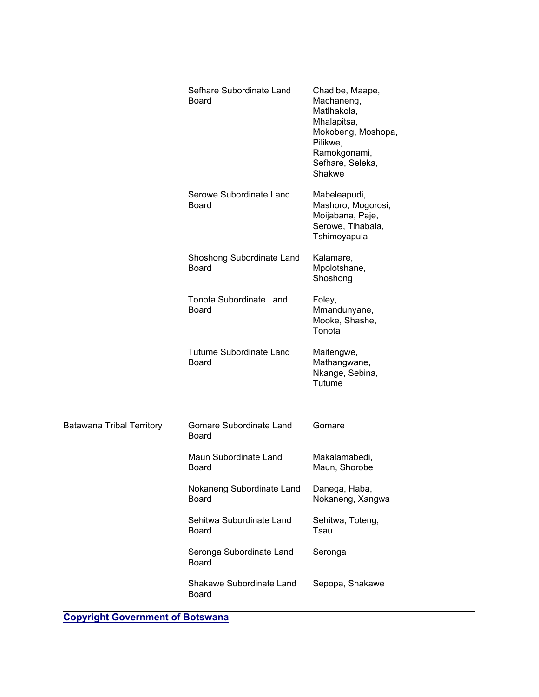|                                  | Sefhare Subordinate Land<br><b>Board</b>       | Chadibe, Maape,<br>Machaneng,<br>Matlhakola,<br>Mhalapitsa,<br>Mokobeng, Moshopa,<br>Pilikwe,<br>Ramokgonami,<br>Sefhare, Seleka,<br>Shakwe |
|----------------------------------|------------------------------------------------|---------------------------------------------------------------------------------------------------------------------------------------------|
|                                  | Serowe Subordinate Land<br><b>Board</b>        | Mabeleapudi,<br>Mashoro, Mogorosi,<br>Moijabana, Paje,<br>Serowe, Tlhabala,<br>Tshimoyapula                                                 |
|                                  | Shoshong Subordinate Land<br><b>Board</b>      | Kalamare,<br>Mpolotshane,<br>Shoshong                                                                                                       |
|                                  | <b>Tonota Subordinate Land</b><br><b>Board</b> | Foley,<br>Mmandunyane,<br>Mooke, Shashe,<br>Tonota                                                                                          |
|                                  | <b>Tutume Subordinate Land</b><br><b>Board</b> | Maitengwe,<br>Mathangwane,<br>Nkange, Sebina,<br>Tutume                                                                                     |
| <b>Batawana Tribal Territory</b> | Gomare Subordinate Land<br><b>Board</b>        | Gomare                                                                                                                                      |
|                                  | Maun Subordinate Land<br><b>Board</b>          | Makalamabedi,<br>Maun, Shorobe                                                                                                              |
|                                  | Nokaneng Subordinate Land<br>Board             | Danega, Haba,<br>Nokaneng, Xangwa                                                                                                           |
|                                  | Sehitwa Subordinate Land<br><b>Board</b>       | Sehitwa, Toteng,<br>Tsau                                                                                                                    |
|                                  | Seronga Subordinate Land<br>Board              | Seronga                                                                                                                                     |
|                                  | Shakawe Subordinate Land<br>Board              | Sepopa, Shakawe                                                                                                                             |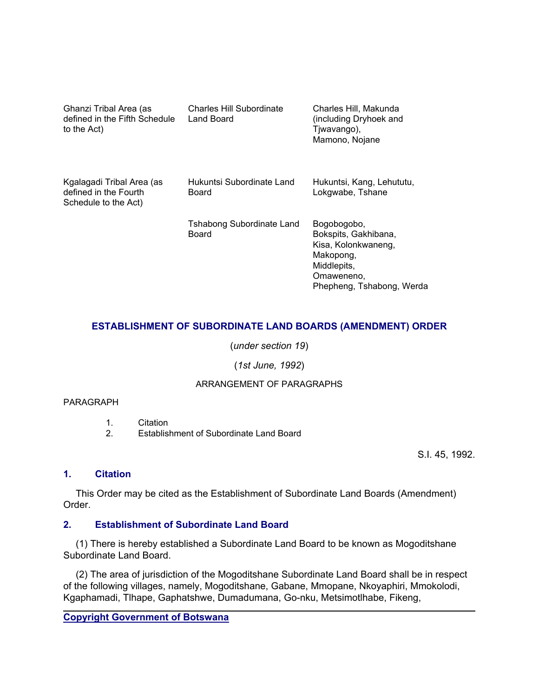| Ghanzi Tribal Area (as<br>defined in the Fifth Schedule<br>to the Act)     | Charles Hill Subordinate<br>Land Board    | Charles Hill, Makunda<br>(including Dryhoek and<br>Tjwavango),<br>Mamono, Nojane                                                  |
|----------------------------------------------------------------------------|-------------------------------------------|-----------------------------------------------------------------------------------------------------------------------------------|
| Kgalagadi Tribal Area (as<br>defined in the Fourth<br>Schedule to the Act) | Hukuntsi Subordinate Land<br>Board        | Hukuntsi, Kang, Lehututu,<br>Lokgwabe, Tshane                                                                                     |
|                                                                            | <b>Tshabong Subordinate Land</b><br>Board | Bogobogobo,<br>Bokspits, Gakhibana,<br>Kisa, Kolonkwaneng,<br>Makopong,<br>Middlepits,<br>Omaweneno,<br>Phepheng, Tshabong, Werda |

# **ESTABLISHMENT OF SUBORDINATE LAND BOARDS (AMENDMENT) ORDER**

(*under section 19*)

# (*1st June, 1992*)

# ARRANGEMENT OF PARAGRAPHS

#### PARAGRAPH

1. Citation

2. Establishment of Subordinate Land Board

S.I. 45, 1992.

# **1. Citation**

 This Order may be cited as the Establishment of Subordinate Land Boards (Amendment) Order.

# **2. Establishment of Subordinate Land Board**

 (1) There is hereby established a Subordinate Land Board to be known as Mogoditshane Subordinate Land Board.

 (2) The area of jurisdiction of the Mogoditshane Subordinate Land Board shall be in respect of the following villages, namely, Mogoditshane, Gabane, Mmopane, Nkoyaphiri, Mmokolodi, Kgaphamadi, Tlhape, Gaphatshwe, Dumadumana, Go-nku, Metsimotlhabe, Fikeng,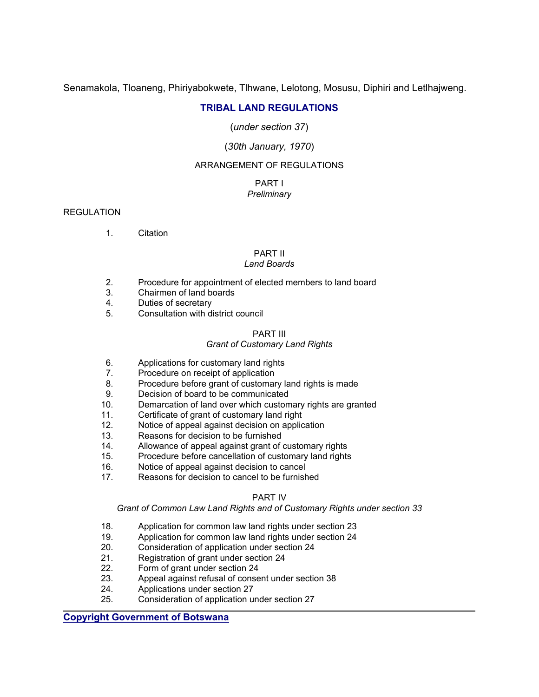Senamakola, Tloaneng, Phiriyabokwete, Tlhwane, Lelotong, Mosusu, Diphiri and Letlhajweng.

# **TRIBAL LAND REGULATIONS**

(*under section 37*)

# (*30th January, 1970*)

# ARRANGEMENT OF REGULATIONS

#### PART I *Preliminary*

#### **REGULATION**

1. Citation

#### PART II

#### *Land Boards*

- 2. Procedure for appointment of elected members to land board
- 3. Chairmen of land boards
- 4. Duties of secretary
- 5. Consultation with district council

#### PART III

#### *Grant of Customary Land Rights*

- 6. Applications for customary land rights
- 7. Procedure on receipt of application
- 8. Procedure before grant of customary land rights is made
- 9. Decision of board to be communicated
- 10. Demarcation of land over which customary rights are granted
- 11. Certificate of grant of customary land right
- 12. Notice of appeal against decision on application
- 13. Reasons for decision to be furnished
- 14. Allowance of appeal against grant of customary rights
- 15. Procedure before cancellation of customary land rights
- 16. Notice of appeal against decision to cancel
- 17. Reasons for decision to cancel to be furnished

#### PART IV

#### *Grant of Common Law Land Rights and of Customary Rights under section 33*

- 18. Application for common law land rights under section 23
- 19. Application for common law land rights under section 24
- 20. Consideration of application under section 24
- 21. Registration of grant under section 24
- 22. Form of grant under section 24
- 23. Appeal against refusal of consent under section 38
- 24. Applications under section 27
- 25. Consideration of application under section 27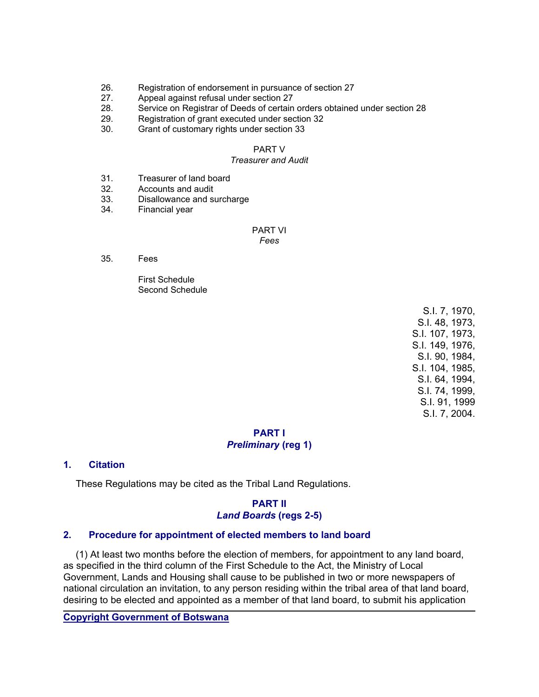- 26. Registration of endorsement in pursuance of section 27
- 27. Appeal against refusal under section 27
- 28. Service on Registrar of Deeds of certain orders obtained under section 28
- 29. Registration of grant executed under section 32
- 30. Grant of customary rights under section 33

#### PART V

#### *Treasurer and Audit*

- 31. Treasurer of land board
- 32. Accounts and audit
- 33. Disallowance and surcharge
- 34. Financial year

#### PART VI

#### *Fees*

35. Fees

 First Schedule Second Schedule

> S.I. 7, 1970, S.I. 48, 1973, S.I. 107, 1973, S.I. 149, 1976, S.I. 90, 1984, S.I. 104, 1985, S.I. 64, 1994, S.I. 74, 1999, S.I. 91, 1999 S.I. 7, 2004.

# **PART I** *Preliminary* **(reg 1)**

# **1. Citation**

These Regulations may be cited as the Tribal Land Regulations.

# **PART II** *Land Boards* **(regs 2-5)**

#### **2. Procedure for appointment of elected members to land board**

 (1) At least two months before the election of members, for appointment to any land board, as specified in the third column of the First Schedule to the Act, the Ministry of Local Government, Lands and Housing shall cause to be published in two or more newspapers of national circulation an invitation, to any person residing within the tribal area of that land board, desiring to be elected and appointed as a member of that land board, to submit his application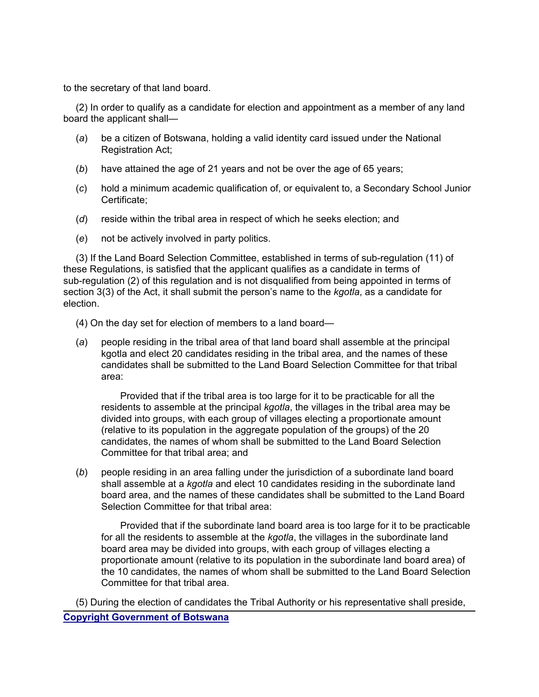to the secretary of that land board.

 (2) In order to qualify as a candidate for election and appointment as a member of any land board the applicant shall—

- (*a*) be a citizen of Botswana, holding a valid identity card issued under the National Registration Act;
- (*b*) have attained the age of 21 years and not be over the age of 65 years;
- (*c*) hold a minimum academic qualification of, or equivalent to, a Secondary School Junior Certificate;
- (*d*) reside within the tribal area in respect of which he seeks election; and
- (*e*) not be actively involved in party politics.

 (3) If the Land Board Selection Committee, established in terms of sub-regulation (11) of these Regulations, is satisfied that the applicant qualifies as a candidate in terms of sub-regulation (2) of this regulation and is not disqualified from being appointed in terms of section 3(3) of the Act, it shall submit the person's name to the *kgotla*, as a candidate for election.

(4) On the day set for election of members to a land board—

 (*a*) people residing in the tribal area of that land board shall assemble at the principal kgotla and elect 20 candidates residing in the tribal area, and the names of these candidates shall be submitted to the Land Board Selection Committee for that tribal area:

 Provided that if the tribal area is too large for it to be practicable for all the residents to assemble at the principal *kgotla*, the villages in the tribal area may be divided into groups, with each group of villages electing a proportionate amount (relative to its population in the aggregate population of the groups) of the 20 candidates, the names of whom shall be submitted to the Land Board Selection Committee for that tribal area; and

 (*b*) people residing in an area falling under the jurisdiction of a subordinate land board shall assemble at a *kgotla* and elect 10 candidates residing in the subordinate land board area, and the names of these candidates shall be submitted to the Land Board Selection Committee for that tribal area:

 Provided that if the subordinate land board area is too large for it to be practicable for all the residents to assemble at the *kgotla*, the villages in the subordinate land board area may be divided into groups, with each group of villages electing a proportionate amount (relative to its population in the subordinate land board area) of the 10 candidates, the names of whom shall be submitted to the Land Board Selection Committee for that tribal area.

**Copyright Government of Botswana** (5) During the election of candidates the Tribal Authority or his representative shall preside,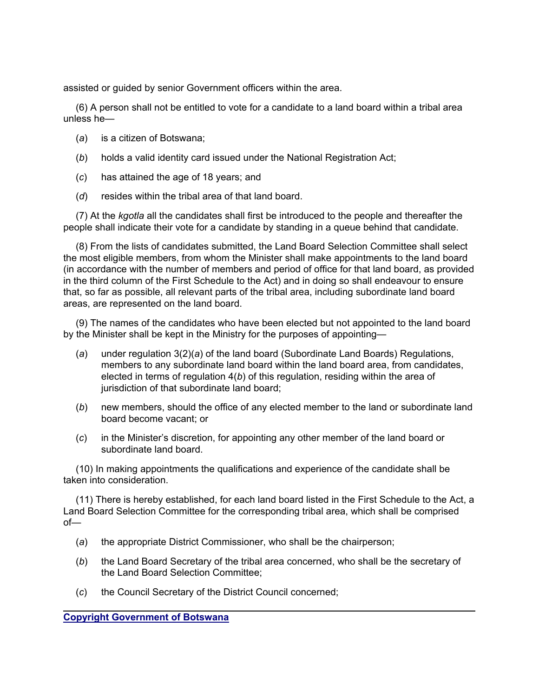assisted or guided by senior Government officers within the area.

 (6) A person shall not be entitled to vote for a candidate to a land board within a tribal area unless he—

- (*a*) is a citizen of Botswana;
- (*b*) holds a valid identity card issued under the National Registration Act;
- (*c*) has attained the age of 18 years; and
- (*d*) resides within the tribal area of that land board.

 (7) At the *kgotla* all the candidates shall first be introduced to the people and thereafter the people shall indicate their vote for a candidate by standing in a queue behind that candidate.

 (8) From the lists of candidates submitted, the Land Board Selection Committee shall select the most eligible members, from whom the Minister shall make appointments to the land board (in accordance with the number of members and period of office for that land board, as provided in the third column of the First Schedule to the Act) and in doing so shall endeavour to ensure that, so far as possible, all relevant parts of the tribal area, including subordinate land board areas, are represented on the land board.

 (9) The names of the candidates who have been elected but not appointed to the land board by the Minister shall be kept in the Ministry for the purposes of appointing—

- (*a*) under regulation 3(2)(*a*) of the land board (Subordinate Land Boards) Regulations, members to any subordinate land board within the land board area, from candidates, elected in terms of regulation 4(*b*) of this regulation, residing within the area of jurisdiction of that subordinate land board;
- (*b*) new members, should the office of any elected member to the land or subordinate land board become vacant; or
- (*c*) in the Minister's discretion, for appointing any other member of the land board or subordinate land board.

 (10) In making appointments the qualifications and experience of the candidate shall be taken into consideration.

 (11) There is hereby established, for each land board listed in the First Schedule to the Act, a Land Board Selection Committee for the corresponding tribal area, which shall be comprised of—

- (*a*) the appropriate District Commissioner, who shall be the chairperson;
- (*b*) the Land Board Secretary of the tribal area concerned, who shall be the secretary of the Land Board Selection Committee;
- (*c*) the Council Secretary of the District Council concerned;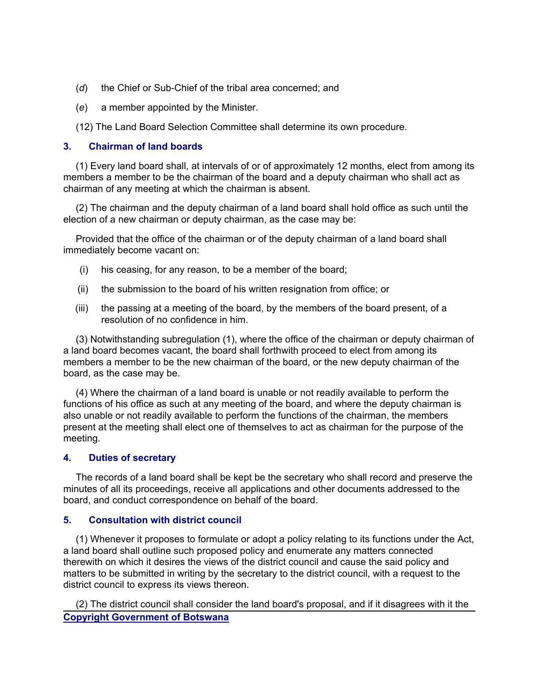- (*d*) the Chief or Sub-Chief of the tribal area concerned; and
- (*e*) a member appointed by the Minister.
- (12) The Land Board Selection Committee shall determine its own procedure.

#### **3. Chairman of land boards**

 (1) Every land board shall, at intervals of or of approximately 12 months, elect from among its members a member to be the chairman of the board and a deputy chairman who shall act as chairman of any meeting at which the chairman is absent.

 (2) The chairman and the deputy chairman of a land board shall hold office as such until the election of a new chairman or deputy chairman, as the case may be:

 Provided that the office of the chairman or of the deputy chairman of a land board shall immediately become vacant on:

- (i) his ceasing, for any reason, to be a member of the board;
- (ii) the submission to the board of his written resignation from office; or
- (iii) the passing at a meeting of the board, by the members of the board present, of a resolution of no confidence in him.

 (3) Notwithstanding subregulation (1), where the office of the chairman or deputy chairman of a land board becomes vacant, the board shall forthwith proceed to elect from among its members a member to be the new chairman of the board, or the new deputy chairman of the board, as the case may be.

 (4) Where the chairman of a land board is unable or not readily available to perform the functions of his office as such at any meeting of the board, and where the deputy chairman is also unable or not readily available to perform the functions of the chairman, the members present at the meeting shall elect one of themselves to act as chairman for the purpose of the meeting.

# **4. Duties of secretary**

 The records of a land board shall be kept be the secretary who shall record and preserve the minutes of all its proceedings, receive all applications and other documents addressed to the board, and conduct correspondence on behalf of the board.

#### **5. Consultation with district council**

 (1) Whenever it proposes to formulate or adopt a policy relating to its functions under the Act, a land board shall outline such proposed policy and enumerate any matters connected therewith on which it desires the views of the district council and cause the said policy and matters to be submitted in writing by the secretary to the district council, with a request to the district council to express its views thereon.

**Copyright Government of Botswana** (2) The district council shall consider the land board's proposal, and if it disagrees with it the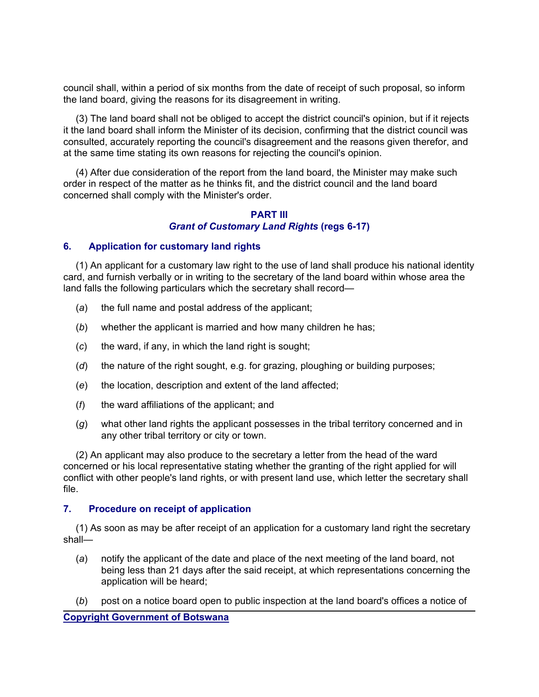council shall, within a period of six months from the date of receipt of such proposal, so inform the land board, giving the reasons for its disagreement in writing.

 (3) The land board shall not be obliged to accept the district council's opinion, but if it rejects it the land board shall inform the Minister of its decision, confirming that the district council was consulted, accurately reporting the council's disagreement and the reasons given therefor, and at the same time stating its own reasons for rejecting the council's opinion.

 (4) After due consideration of the report from the land board, the Minister may make such order in respect of the matter as he thinks fit, and the district council and the land board concerned shall comply with the Minister's order.

# **PART III** *Grant of Customary Land Rights* **(regs 6-17)**

# **6. Application for customary land rights**

 (1) An applicant for a customary law right to the use of land shall produce his national identity card, and furnish verbally or in writing to the secretary of the land board within whose area the land falls the following particulars which the secretary shall record—

- (*a*) the full name and postal address of the applicant;
- (*b*) whether the applicant is married and how many children he has;
- (*c*) the ward, if any, in which the land right is sought;
- (*d*) the nature of the right sought, e.g. for grazing, ploughing or building purposes;
- (*e*) the location, description and extent of the land affected;
- (*f*) the ward affiliations of the applicant; and
- (*g*) what other land rights the applicant possesses in the tribal territory concerned and in any other tribal territory or city or town.

 (2) An applicant may also produce to the secretary a letter from the head of the ward concerned or his local representative stating whether the granting of the right applied for will conflict with other people's land rights, or with present land use, which letter the secretary shall file.

#### **7. Procedure on receipt of application**

 (1) As soon as may be after receipt of an application for a customary land right the secretary shall—

- (*a*) notify the applicant of the date and place of the next meeting of the land board, not being less than 21 days after the said receipt, at which representations concerning the application will be heard;
- (*b*) post on a notice board open to public inspection at the land board's offices a notice of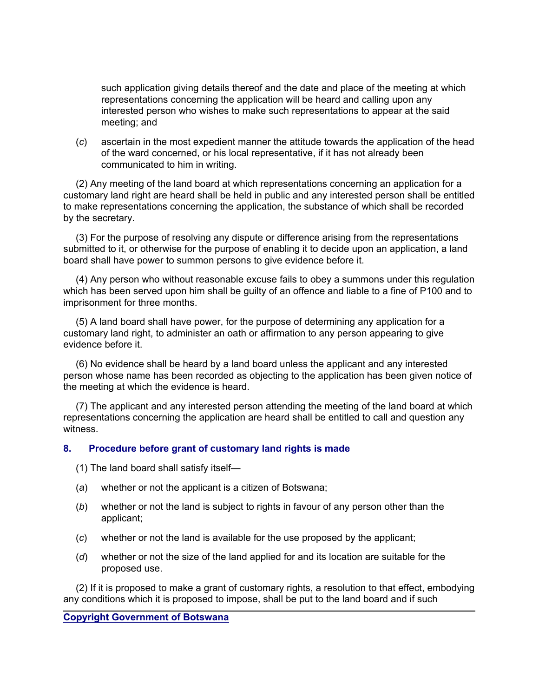such application giving details thereof and the date and place of the meeting at which representations concerning the application will be heard and calling upon any interested person who wishes to make such representations to appear at the said meeting; and

 (*c*) ascertain in the most expedient manner the attitude towards the application of the head of the ward concerned, or his local representative, if it has not already been communicated to him in writing.

 (2) Any meeting of the land board at which representations concerning an application for a customary land right are heard shall be held in public and any interested person shall be entitled to make representations concerning the application, the substance of which shall be recorded by the secretary.

 (3) For the purpose of resolving any dispute or difference arising from the representations submitted to it, or otherwise for the purpose of enabling it to decide upon an application, a land board shall have power to summon persons to give evidence before it.

 (4) Any person who without reasonable excuse fails to obey a summons under this regulation which has been served upon him shall be guilty of an offence and liable to a fine of P100 and to imprisonment for three months.

 (5) A land board shall have power, for the purpose of determining any application for a customary land right, to administer an oath or affirmation to any person appearing to give evidence before it.

 (6) No evidence shall be heard by a land board unless the applicant and any interested person whose name has been recorded as objecting to the application has been given notice of the meeting at which the evidence is heard.

 (7) The applicant and any interested person attending the meeting of the land board at which representations concerning the application are heard shall be entitled to call and question any witness.

# **8. Procedure before grant of customary land rights is made**

(1) The land board shall satisfy itself—

- (*a*) whether or not the applicant is a citizen of Botswana;
- (*b*) whether or not the land is subject to rights in favour of any person other than the applicant;
- (*c*) whether or not the land is available for the use proposed by the applicant;
- (*d*) whether or not the size of the land applied for and its location are suitable for the proposed use.

 (2) If it is proposed to make a grant of customary rights, a resolution to that effect, embodying any conditions which it is proposed to impose, shall be put to the land board and if such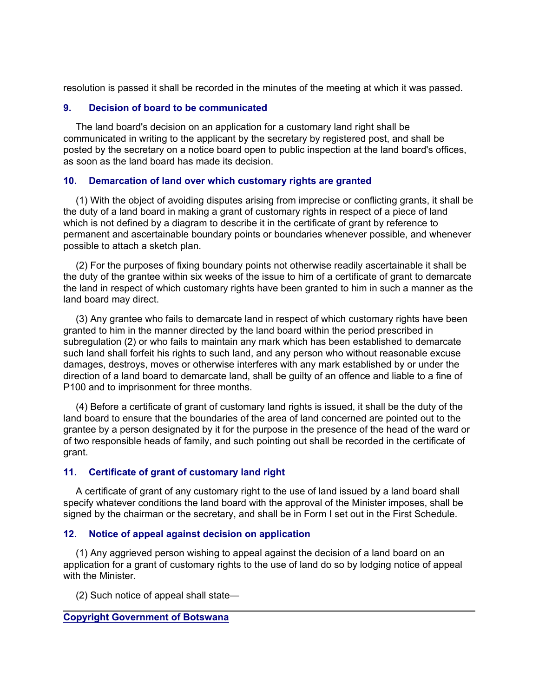resolution is passed it shall be recorded in the minutes of the meeting at which it was passed.

# **9. Decision of board to be communicated**

 The land board's decision on an application for a customary land right shall be communicated in writing to the applicant by the secretary by registered post, and shall be posted by the secretary on a notice board open to public inspection at the land board's offices, as soon as the land board has made its decision.

# **10. Demarcation of land over which customary rights are granted**

 (1) With the object of avoiding disputes arising from imprecise or conflicting grants, it shall be the duty of a land board in making a grant of customary rights in respect of a piece of land which is not defined by a diagram to describe it in the certificate of grant by reference to permanent and ascertainable boundary points or boundaries whenever possible, and whenever possible to attach a sketch plan.

 (2) For the purposes of fixing boundary points not otherwise readily ascertainable it shall be the duty of the grantee within six weeks of the issue to him of a certificate of grant to demarcate the land in respect of which customary rights have been granted to him in such a manner as the land board may direct.

 (3) Any grantee who fails to demarcate land in respect of which customary rights have been granted to him in the manner directed by the land board within the period prescribed in subregulation (2) or who fails to maintain any mark which has been established to demarcate such land shall forfeit his rights to such land, and any person who without reasonable excuse damages, destroys, moves or otherwise interferes with any mark established by or under the direction of a land board to demarcate land, shall be guilty of an offence and liable to a fine of P100 and to imprisonment for three months.

 (4) Before a certificate of grant of customary land rights is issued, it shall be the duty of the land board to ensure that the boundaries of the area of land concerned are pointed out to the grantee by a person designated by it for the purpose in the presence of the head of the ward or of two responsible heads of family, and such pointing out shall be recorded in the certificate of grant.

# **11. Certificate of grant of customary land right**

 A certificate of grant of any customary right to the use of land issued by a land board shall specify whatever conditions the land board with the approval of the Minister imposes, shall be signed by the chairman or the secretary, and shall be in Form I set out in the First Schedule.

#### **12. Notice of appeal against decision on application**

 (1) Any aggrieved person wishing to appeal against the decision of a land board on an application for a grant of customary rights to the use of land do so by lodging notice of appeal with the Minister.

(2) Such notice of appeal shall state—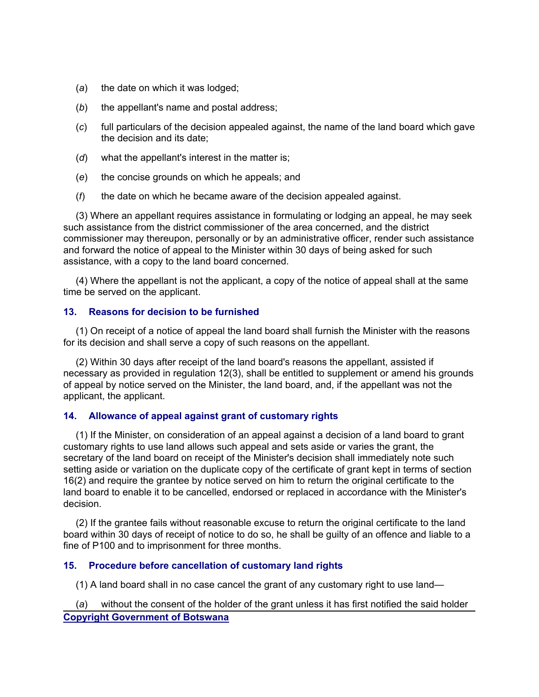- (*a*) the date on which it was lodged;
- (*b*) the appellant's name and postal address;
- (*c*) full particulars of the decision appealed against, the name of the land board which gave the decision and its date;
- (*d*) what the appellant's interest in the matter is;
- (*e*) the concise grounds on which he appeals; and
- (*f*) the date on which he became aware of the decision appealed against.

 (3) Where an appellant requires assistance in formulating or lodging an appeal, he may seek such assistance from the district commissioner of the area concerned, and the district commissioner may thereupon, personally or by an administrative officer, render such assistance and forward the notice of appeal to the Minister within 30 days of being asked for such assistance, with a copy to the land board concerned.

 (4) Where the appellant is not the applicant, a copy of the notice of appeal shall at the same time be served on the applicant.

# **13. Reasons for decision to be furnished**

 (1) On receipt of a notice of appeal the land board shall furnish the Minister with the reasons for its decision and shall serve a copy of such reasons on the appellant.

 (2) Within 30 days after receipt of the land board's reasons the appellant, assisted if necessary as provided in regulation 12(3), shall be entitled to supplement or amend his grounds of appeal by notice served on the Minister, the land board, and, if the appellant was not the applicant, the applicant.

# **14. Allowance of appeal against grant of customary rights**

 (1) If the Minister, on consideration of an appeal against a decision of a land board to grant customary rights to use land allows such appeal and sets aside or varies the grant, the secretary of the land board on receipt of the Minister's decision shall immediately note such setting aside or variation on the duplicate copy of the certificate of grant kept in terms of section 16(2) and require the grantee by notice served on him to return the original certificate to the land board to enable it to be cancelled, endorsed or replaced in accordance with the Minister's decision.

 (2) If the grantee fails without reasonable excuse to return the original certificate to the land board within 30 days of receipt of notice to do so, he shall be guilty of an offence and liable to a fine of P100 and to imprisonment for three months.

# **15. Procedure before cancellation of customary land rights**

(1) A land board shall in no case cancel the grant of any customary right to use land—

**Copyright Government of Botswana** (*a*) without the consent of the holder of the grant unless it has first notified the said holder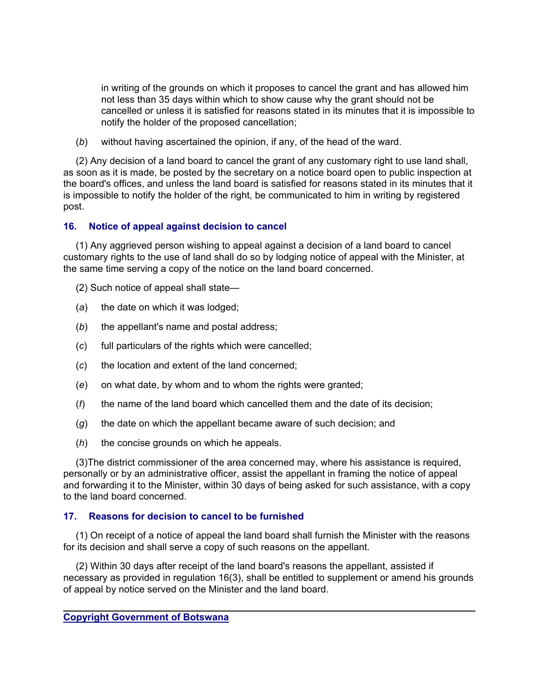in writing of the grounds on which it proposes to cancel the grant and has allowed him not less than 35 days within which to show cause why the grant should not be cancelled or unless it is satisfied for reasons stated in its minutes that it is impossible to notify the holder of the proposed cancellation;

(*b*) without having ascertained the opinion, if any, of the head of the ward.

 (2) Any decision of a land board to cancel the grant of any customary right to use land shall, as soon as it is made, be posted by the secretary on a notice board open to public inspection at the board's offices, and unless the land board is satisfied for reasons stated in its minutes that it is impossible to notify the holder of the right, be communicated to him in writing by registered post.

# **16. Notice of appeal against decision to cancel**

 (1) Any aggrieved person wishing to appeal against a decision of a land board to cancel customary rights to the use of land shall do so by lodging notice of appeal with the Minister, at the same time serving a copy of the notice on the land board concerned.

- (2) Such notice of appeal shall state—
- (*a*) the date on which it was lodged;
- (*b*) the appellant's name and postal address;
- (*c*) full particulars of the rights which were cancelled;
- (*c*) the location and extent of the land concerned;
- (*e*) on what date, by whom and to whom the rights were granted;
- (*f*) the name of the land board which cancelled them and the date of its decision;
- (*g*) the date on which the appellant became aware of such decision; and
- (*h*) the concise grounds on which he appeals.

 (3)The district commissioner of the area concerned may, where his assistance is required, personally or by an administrative officer, assist the appellant in framing the notice of appeal and forwarding it to the Minister, within 30 days of being asked for such assistance, with a copy to the land board concerned.

# **17. Reasons for decision to cancel to be furnished**

 (1) On receipt of a notice of appeal the land board shall furnish the Minister with the reasons for its decision and shall serve a copy of such reasons on the appellant.

 (2) Within 30 days after receipt of the land board's reasons the appellant, assisted if necessary as provided in regulation 16(3), shall be entitled to supplement or amend his grounds of appeal by notice served on the Minister and the land board.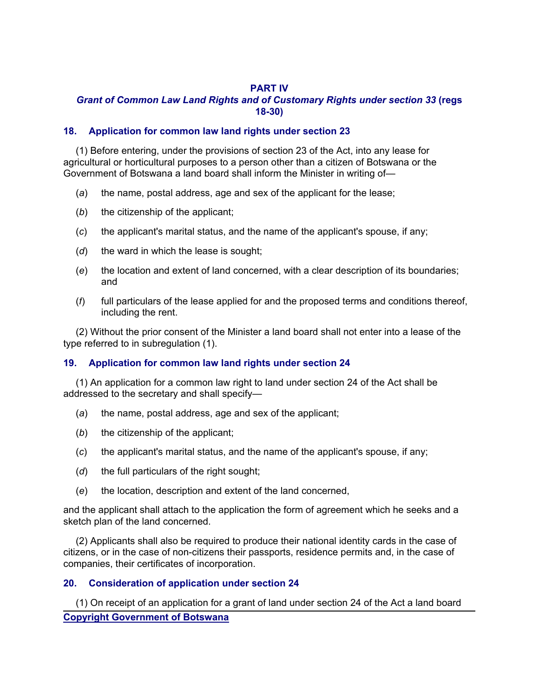# **PART IV**

# *Grant of Common Law Land Rights and of Customary Rights under section 33* **(regs 18-30)**

# **18. Application for common law land rights under section 23**

 (1) Before entering, under the provisions of section 23 of the Act, into any lease for agricultural or horticultural purposes to a person other than a citizen of Botswana or the Government of Botswana a land board shall inform the Minister in writing of—

- (*a*) the name, postal address, age and sex of the applicant for the lease;
- (*b*) the citizenship of the applicant;
- (*c*) the applicant's marital status, and the name of the applicant's spouse, if any;
- (*d*) the ward in which the lease is sought;
- (*e*) the location and extent of land concerned, with a clear description of its boundaries; and
- (*f*) full particulars of the lease applied for and the proposed terms and conditions thereof, including the rent.

 (2) Without the prior consent of the Minister a land board shall not enter into a lease of the type referred to in subregulation (1).

# **19. Application for common law land rights under section 24**

 (1) An application for a common law right to land under section 24 of the Act shall be addressed to the secretary and shall specify—

- (*a*) the name, postal address, age and sex of the applicant;
- (*b*) the citizenship of the applicant;
- (*c*) the applicant's marital status, and the name of the applicant's spouse, if any;
- (*d*) the full particulars of the right sought;
- (*e*) the location, description and extent of the land concerned,

and the applicant shall attach to the application the form of agreement which he seeks and a sketch plan of the land concerned.

 (2) Applicants shall also be required to produce their national identity cards in the case of citizens, or in the case of non-citizens their passports, residence permits and, in the case of companies, their certificates of incorporation.

# **20. Consideration of application under section 24**

**Copyright Government of Botswana** (1) On receipt of an application for a grant of land under section 24 of the Act a land board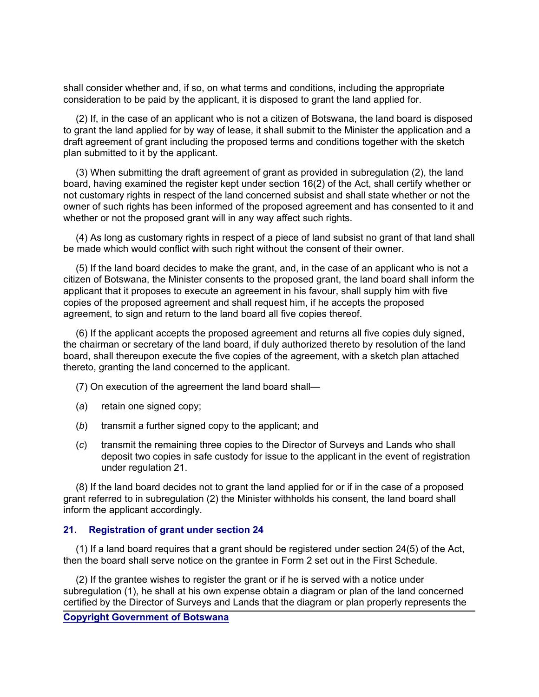shall consider whether and, if so, on what terms and conditions, including the appropriate consideration to be paid by the applicant, it is disposed to grant the land applied for.

 (2) If, in the case of an applicant who is not a citizen of Botswana, the land board is disposed to grant the land applied for by way of lease, it shall submit to the Minister the application and a draft agreement of grant including the proposed terms and conditions together with the sketch plan submitted to it by the applicant.

 (3) When submitting the draft agreement of grant as provided in subregulation (2), the land board, having examined the register kept under section 16(2) of the Act, shall certify whether or not customary rights in respect of the land concerned subsist and shall state whether or not the owner of such rights has been informed of the proposed agreement and has consented to it and whether or not the proposed grant will in any way affect such rights.

 (4) As long as customary rights in respect of a piece of land subsist no grant of that land shall be made which would conflict with such right without the consent of their owner.

 (5) If the land board decides to make the grant, and, in the case of an applicant who is not a citizen of Botswana, the Minister consents to the proposed grant, the land board shall inform the applicant that it proposes to execute an agreement in his favour, shall supply him with five copies of the proposed agreement and shall request him, if he accepts the proposed agreement, to sign and return to the land board all five copies thereof.

 (6) If the applicant accepts the proposed agreement and returns all five copies duly signed, the chairman or secretary of the land board, if duly authorized thereto by resolution of the land board, shall thereupon execute the five copies of the agreement, with a sketch plan attached thereto, granting the land concerned to the applicant.

(7) On execution of the agreement the land board shall—

- (*a*) retain one signed copy;
- (*b*) transmit a further signed copy to the applicant; and
- (*c*) transmit the remaining three copies to the Director of Surveys and Lands who shall deposit two copies in safe custody for issue to the applicant in the event of registration under regulation 21.

 (8) If the land board decides not to grant the land applied for or if in the case of a proposed grant referred to in subregulation (2) the Minister withholds his consent, the land board shall inform the applicant accordingly.

#### **21. Registration of grant under section 24**

 (1) If a land board requires that a grant should be registered under section 24(5) of the Act, then the board shall serve notice on the grantee in Form 2 set out in the First Schedule.

 (2) If the grantee wishes to register the grant or if he is served with a notice under subregulation (1), he shall at his own expense obtain a diagram or plan of the land concerned certified by the Director of Surveys and Lands that the diagram or plan properly represents the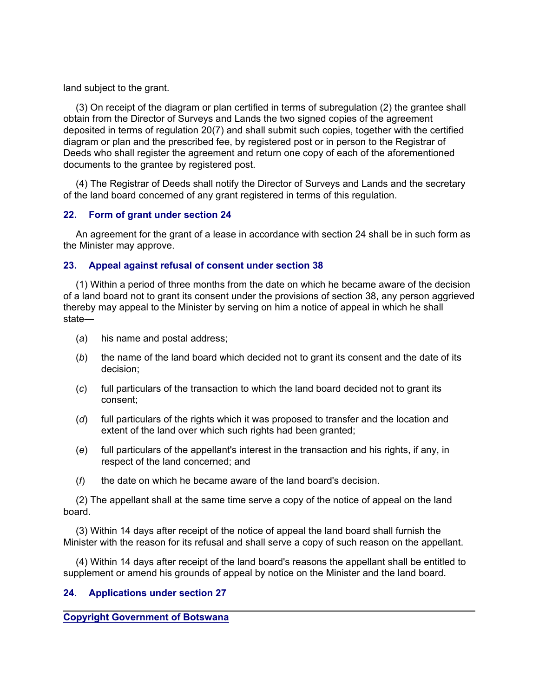land subject to the grant.

 (3) On receipt of the diagram or plan certified in terms of subregulation (2) the grantee shall obtain from the Director of Surveys and Lands the two signed copies of the agreement deposited in terms of regulation 20(7) and shall submit such copies, together with the certified diagram or plan and the prescribed fee, by registered post or in person to the Registrar of Deeds who shall register the agreement and return one copy of each of the aforementioned documents to the grantee by registered post.

 (4) The Registrar of Deeds shall notify the Director of Surveys and Lands and the secretary of the land board concerned of any grant registered in terms of this regulation.

# **22. Form of grant under section 24**

 An agreement for the grant of a lease in accordance with section 24 shall be in such form as the Minister may approve.

# **23. Appeal against refusal of consent under section 38**

 (1) Within a period of three months from the date on which he became aware of the decision of a land board not to grant its consent under the provisions of section 38, any person aggrieved thereby may appeal to the Minister by serving on him a notice of appeal in which he shall state—

- (*a*) his name and postal address;
- (*b*) the name of the land board which decided not to grant its consent and the date of its decision;
- (*c*) full particulars of the transaction to which the land board decided not to grant its consent;
- (*d*) full particulars of the rights which it was proposed to transfer and the location and extent of the land over which such rights had been granted;
- (*e*) full particulars of the appellant's interest in the transaction and his rights, if any, in respect of the land concerned; and
- (*f*) the date on which he became aware of the land board's decision.

 (2) The appellant shall at the same time serve a copy of the notice of appeal on the land board.

 (3) Within 14 days after receipt of the notice of appeal the land board shall furnish the Minister with the reason for its refusal and shall serve a copy of such reason on the appellant.

 (4) Within 14 days after receipt of the land board's reasons the appellant shall be entitled to supplement or amend his grounds of appeal by notice on the Minister and the land board.

# **24. Applications under section 27**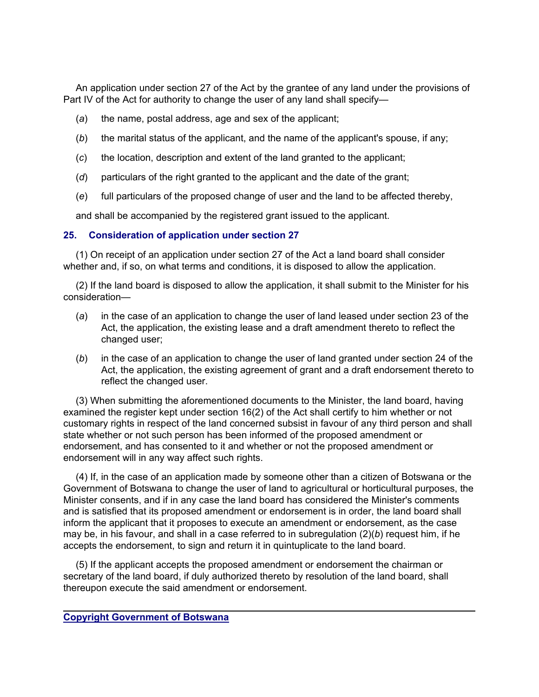An application under section 27 of the Act by the grantee of any land under the provisions of Part IV of the Act for authority to change the user of any land shall specify-

- (*a*) the name, postal address, age and sex of the applicant;
- (*b*) the marital status of the applicant, and the name of the applicant's spouse, if any;
- (*c*) the location, description and extent of the land granted to the applicant;
- (*d*) particulars of the right granted to the applicant and the date of the grant;
- (*e*) full particulars of the proposed change of user and the land to be affected thereby,

and shall be accompanied by the registered grant issued to the applicant.

# **25. Consideration of application under section 27**

 (1) On receipt of an application under section 27 of the Act a land board shall consider whether and, if so, on what terms and conditions, it is disposed to allow the application.

 (2) If the land board is disposed to allow the application, it shall submit to the Minister for his consideration—

- (*a*) in the case of an application to change the user of land leased under section 23 of the Act, the application, the existing lease and a draft amendment thereto to reflect the changed user;
- (*b*) in the case of an application to change the user of land granted under section 24 of the Act, the application, the existing agreement of grant and a draft endorsement thereto to reflect the changed user.

 (3) When submitting the aforementioned documents to the Minister, the land board, having examined the register kept under section 16(2) of the Act shall certify to him whether or not customary rights in respect of the land concerned subsist in favour of any third person and shall state whether or not such person has been informed of the proposed amendment or endorsement, and has consented to it and whether or not the proposed amendment or endorsement will in any way affect such rights.

 (4) If, in the case of an application made by someone other than a citizen of Botswana or the Government of Botswana to change the user of land to agricultural or horticultural purposes, the Minister consents, and if in any case the land board has considered the Minister's comments and is satisfied that its proposed amendment or endorsement is in order, the land board shall inform the applicant that it proposes to execute an amendment or endorsement, as the case may be, in his favour, and shall in a case referred to in subregulation (2)(*b*) request him, if he accepts the endorsement, to sign and return it in quintuplicate to the land board.

 (5) If the applicant accepts the proposed amendment or endorsement the chairman or secretary of the land board, if duly authorized thereto by resolution of the land board, shall thereupon execute the said amendment or endorsement.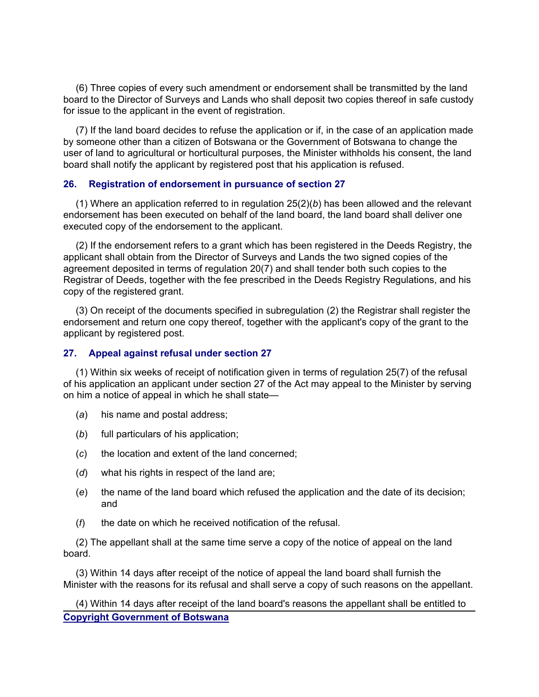(6) Three copies of every such amendment or endorsement shall be transmitted by the land board to the Director of Surveys and Lands who shall deposit two copies thereof in safe custody for issue to the applicant in the event of registration.

 (7) If the land board decides to refuse the application or if, in the case of an application made by someone other than a citizen of Botswana or the Government of Botswana to change the user of land to agricultural or horticultural purposes, the Minister withholds his consent, the land board shall notify the applicant by registered post that his application is refused.

# **26. Registration of endorsement in pursuance of section 27**

 (1) Where an application referred to in regulation 25(2)(*b*) has been allowed and the relevant endorsement has been executed on behalf of the land board, the land board shall deliver one executed copy of the endorsement to the applicant.

 (2) If the endorsement refers to a grant which has been registered in the Deeds Registry, the applicant shall obtain from the Director of Surveys and Lands the two signed copies of the agreement deposited in terms of regulation 20(7) and shall tender both such copies to the Registrar of Deeds, together with the fee prescribed in the Deeds Registry Regulations, and his copy of the registered grant.

 (3) On receipt of the documents specified in subregulation (2) the Registrar shall register the endorsement and return one copy thereof, together with the applicant's copy of the grant to the applicant by registered post.

#### **27. Appeal against refusal under section 27**

 (1) Within six weeks of receipt of notification given in terms of regulation 25(7) of the refusal of his application an applicant under section 27 of the Act may appeal to the Minister by serving on him a notice of appeal in which he shall state—

- (*a*) his name and postal address;
- (*b*) full particulars of his application;
- (*c*) the location and extent of the land concerned;
- (*d*) what his rights in respect of the land are;
- (*e*) the name of the land board which refused the application and the date of its decision; and
- (*f*) the date on which he received notification of the refusal.

 (2) The appellant shall at the same time serve a copy of the notice of appeal on the land board.

 (3) Within 14 days after receipt of the notice of appeal the land board shall furnish the Minister with the reasons for its refusal and shall serve a copy of such reasons on the appellant.

**Copyright Government of Botswana** (4) Within 14 days after receipt of the land board's reasons the appellant shall be entitled to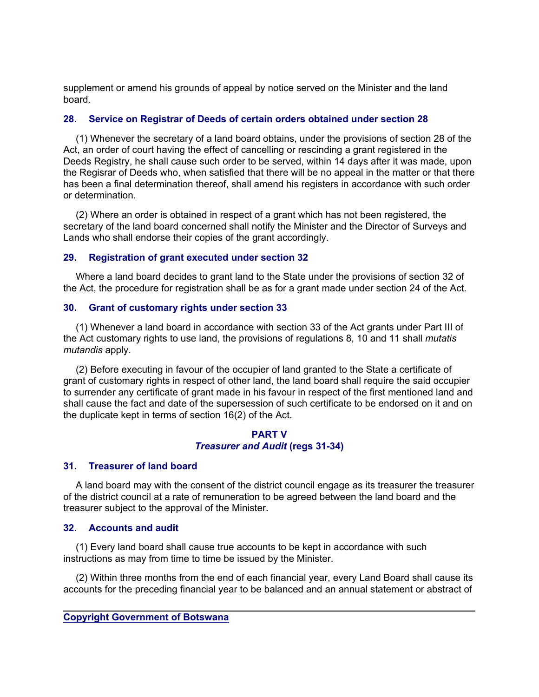supplement or amend his grounds of appeal by notice served on the Minister and the land board.

# **28. Service on Registrar of Deeds of certain orders obtained under section 28**

 (1) Whenever the secretary of a land board obtains, under the provisions of section 28 of the Act, an order of court having the effect of cancelling or rescinding a grant registered in the Deeds Registry, he shall cause such order to be served, within 14 days after it was made, upon the Regisrar of Deeds who, when satisfied that there will be no appeal in the matter or that there has been a final determination thereof, shall amend his registers in accordance with such order or determination.

 (2) Where an order is obtained in respect of a grant which has not been registered, the secretary of the land board concerned shall notify the Minister and the Director of Surveys and Lands who shall endorse their copies of the grant accordingly.

# **29. Registration of grant executed under section 32**

 Where a land board decides to grant land to the State under the provisions of section 32 of the Act, the procedure for registration shall be as for a grant made under section 24 of the Act.

# **30. Grant of customary rights under section 33**

 (1) Whenever a land board in accordance with section 33 of the Act grants under Part III of the Act customary rights to use land, the provisions of regulations 8, 10 and 11 shall *mutatis mutandis* apply.

 (2) Before executing in favour of the occupier of land granted to the State a certificate of grant of customary rights in respect of other land, the land board shall require the said occupier to surrender any certificate of grant made in his favour in respect of the first mentioned land and shall cause the fact and date of the supersession of such certificate to be endorsed on it and on the duplicate kept in terms of section 16(2) of the Act.

# **PART V** *Treasurer and Audit* **(regs 31-34)**

# **31. Treasurer of land board**

 A land board may with the consent of the district council engage as its treasurer the treasurer of the district council at a rate of remuneration to be agreed between the land board and the treasurer subject to the approval of the Minister.

#### **32. Accounts and audit**

 (1) Every land board shall cause true accounts to be kept in accordance with such instructions as may from time to time be issued by the Minister.

 (2) Within three months from the end of each financial year, every Land Board shall cause its accounts for the preceding financial year to be balanced and an annual statement or abstract of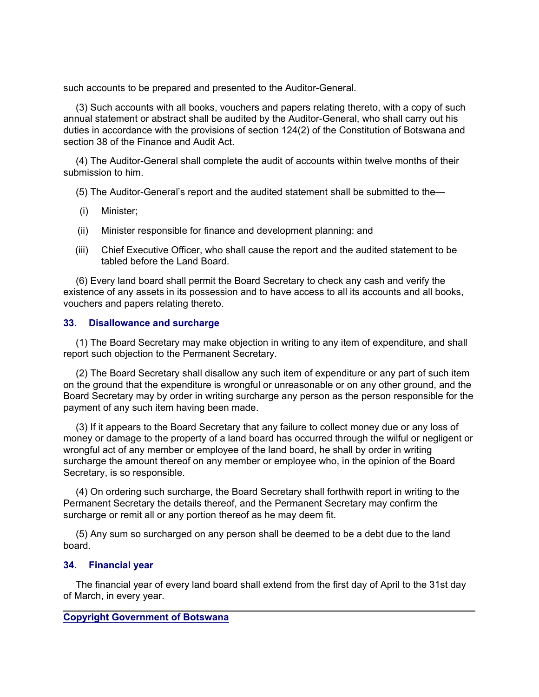such accounts to be prepared and presented to the Auditor-General.

 (3) Such accounts with all books, vouchers and papers relating thereto, with a copy of such annual statement or abstract shall be audited by the Auditor-General, who shall carry out his duties in accordance with the provisions of section 124(2) of the Constitution of Botswana and section 38 of the Finance and Audit Act.

 (4) The Auditor-General shall complete the audit of accounts within twelve months of their submission to him.

- (5) The Auditor-General's report and the audited statement shall be submitted to the—
- (i) Minister;
- (ii) Minister responsible for finance and development planning: and
- (iii) Chief Executive Officer, who shall cause the report and the audited statement to be tabled before the Land Board.

 (6) Every land board shall permit the Board Secretary to check any cash and verify the existence of any assets in its possession and to have access to all its accounts and all books, vouchers and papers relating thereto.

# **33. Disallowance and surcharge**

 (1) The Board Secretary may make objection in writing to any item of expenditure, and shall report such objection to the Permanent Secretary.

 (2) The Board Secretary shall disallow any such item of expenditure or any part of such item on the ground that the expenditure is wrongful or unreasonable or on any other ground, and the Board Secretary may by order in writing surcharge any person as the person responsible for the payment of any such item having been made.

 (3) If it appears to the Board Secretary that any failure to collect money due or any loss of money or damage to the property of a land board has occurred through the wilful or negligent or wrongful act of any member or employee of the land board, he shall by order in writing surcharge the amount thereof on any member or employee who, in the opinion of the Board Secretary, is so responsible.

 (4) On ordering such surcharge, the Board Secretary shall forthwith report in writing to the Permanent Secretary the details thereof, and the Permanent Secretary may confirm the surcharge or remit all or any portion thereof as he may deem fit.

 (5) Any sum so surcharged on any person shall be deemed to be a debt due to the land board.

# **34. Financial year**

 The financial year of every land board shall extend from the first day of April to the 31st day of March, in every year.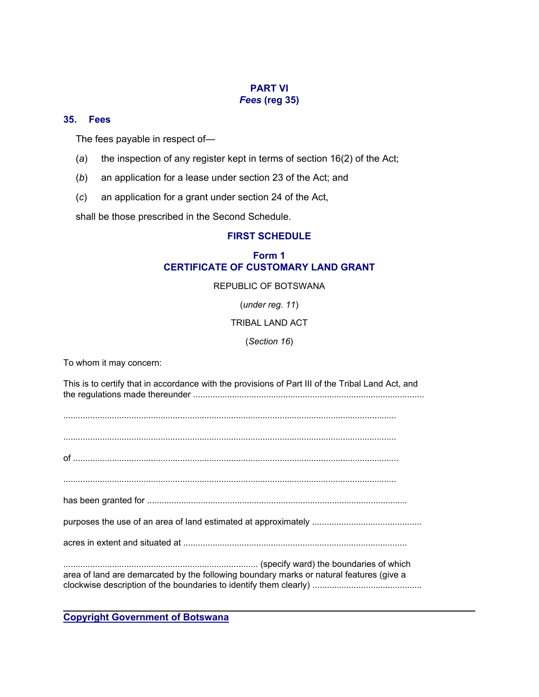# **PART VI** *Fees* **(reg 35)**

#### **35. Fees**

The fees payable in respect of—

- (*a*) the inspection of any register kept in terms of section 16(2) of the Act;
- (*b*) an application for a lease under section 23 of the Act; and
- (*c*) an application for a grant under section 24 of the Act,

shall be those prescribed in the Second Schedule.

# **FIRST SCHEDULE**

# **Form 1 CERTIFICATE OF CUSTOMARY LAND GRANT**

#### REPUBLIC OF BOTSWANA

(*under reg. 11*)

#### TRIBAL LAND ACT

#### (*Section 16*)

To whom it may concern:

This is to certify that in accordance with the provisions of Part III of the Tribal Land Act, and the regulations made thereunder ...............................................................................................

......................................................................................................................................... of ...................................................................................................................................... ......................................................................................................................................... has been granted for ........................................................................................................... purposes the use of an area of land estimated at approximately ............................................. acres in extent and situated at ............................................................................................ ................................................................................ (specify ward) the boundaries of which area of land are demarcated by the following boundary marks or natural features (give a clockwise description of the boundaries to identify them clearly) .............................................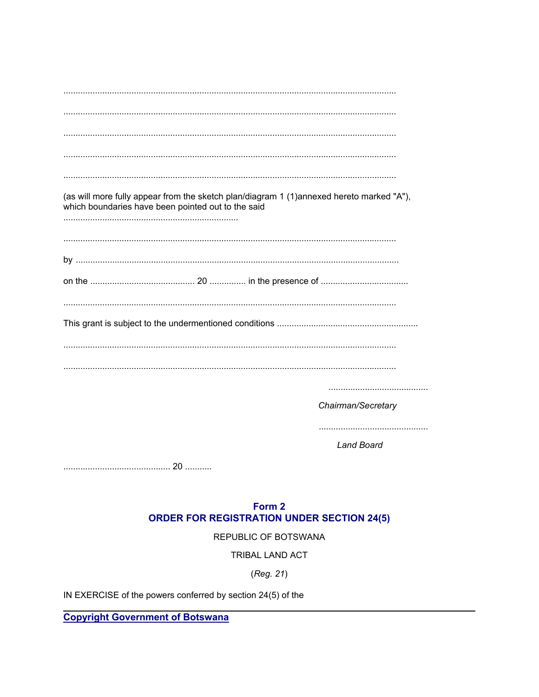| (as will more fully appear from the sketch plan/diagram 1 (1)annexed hereto marked "A"),<br>which boundaries have been pointed out to the said |
|------------------------------------------------------------------------------------------------------------------------------------------------|
|                                                                                                                                                |
|                                                                                                                                                |
|                                                                                                                                                |
|                                                                                                                                                |
|                                                                                                                                                |
|                                                                                                                                                |
|                                                                                                                                                |
|                                                                                                                                                |
| Chairman/Secretary                                                                                                                             |
|                                                                                                                                                |
| <b>Land Board</b>                                                                                                                              |
|                                                                                                                                                |

# Form 2

# **ORDER FOR REGISTRATION UNDER SECTION 24(5)**

REPUBLIC OF BOTSWANA

TRIBAL LAND ACT

(Reg. 21)

IN EXERCISE of the powers conferred by section 24(5) of the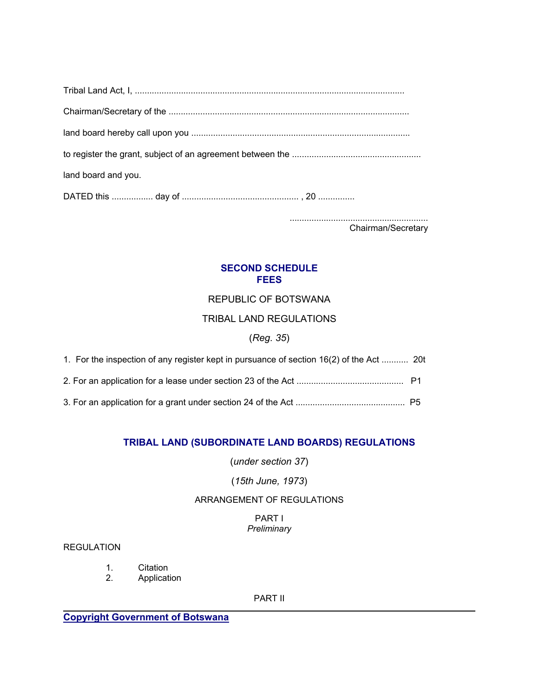| land board and you. |
|---------------------|
|                     |

......................................................... Chairman/Secretary

# **SECOND SCHEDULE FEES**

# REPUBLIC OF BOTSWANA

# TRIBAL LAND REGULATIONS

# (*Reg. 35*)

| 1. For the inspection of any register kept in pursuance of section 16(2) of the Act  20t |  |
|------------------------------------------------------------------------------------------|--|
|                                                                                          |  |
|                                                                                          |  |

# **TRIBAL LAND (SUBORDINATE LAND BOARDS) REGULATIONS**

(*under section 37*)

# (*15th June, 1973*)

# ARRANGEMENT OF REGULATIONS

# PART I *Preliminary*

# REGULATION

- 1. Citation<br>2. Applicati
- **Application**

#### PART II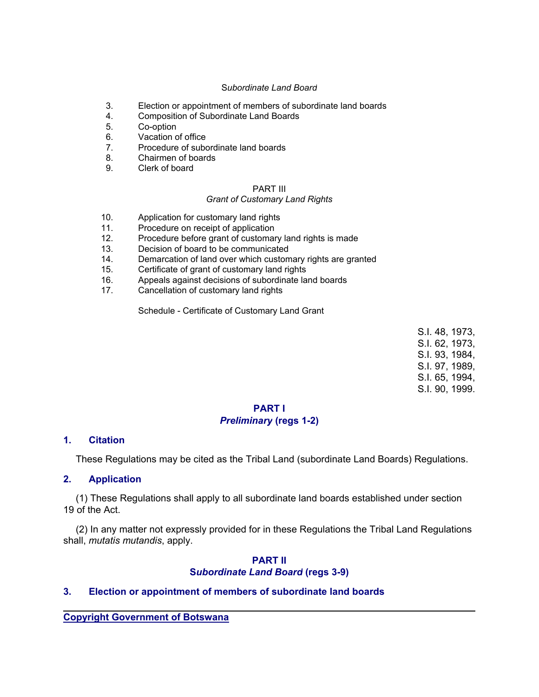#### S*ubordinate Land Board*

- 3. Election or appointment of members of subordinate land boards
- 4. Composition of Subordinate Land Boards
- 5. Co-option
- 6. Vacation of office
- 7. Procedure of subordinate land boards
- 8. Chairmen of boards
- 9. Clerk of board

# PART III

#### *Grant of Customary Land Rights*

- 10. Application for customary land rights
- 11. Procedure on receipt of application
- 12. Procedure before grant of customary land rights is made
- 13. Decision of board to be communicated
- 14. Demarcation of land over which customary rights are granted
- 15. Certificate of grant of customary land rights
- 16. Appeals against decisions of subordinate land boards
- 17. Cancellation of customary land rights

Schedule - Certificate of Customary Land Grant

S.I. 48, 1973, S.I. 62, 1973, S.I. 93, 1984, S.I. 97, 1989, S.I. 65, 1994, S.I. 90, 1999.

# **PART I** *Preliminary* **(regs 1-2)**

#### **1. Citation**

These Regulations may be cited as the Tribal Land (subordinate Land Boards) Regulations.

#### **2. Application**

 (1) These Regulations shall apply to all subordinate land boards established under section 19 of the Act.

 (2) In any matter not expressly provided for in these Regulations the Tribal Land Regulations shall, *mutatis mutandis*, apply.

#### **PART II S***ubordinate Land Board* **(regs 3-9)**

# **3. Election or appointment of members of subordinate land boards**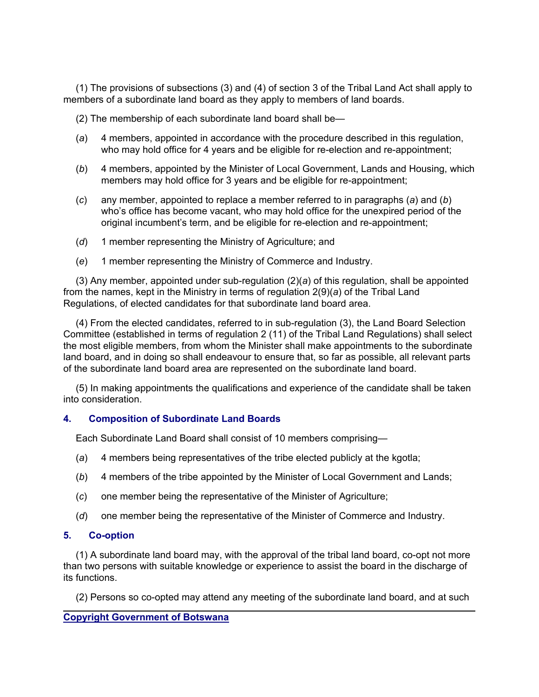(1) The provisions of subsections (3) and (4) of section 3 of the Tribal Land Act shall apply to members of a subordinate land board as they apply to members of land boards.

(2) The membership of each subordinate land board shall be—

- (*a*) 4 members, appointed in accordance with the procedure described in this regulation, who may hold office for 4 years and be eligible for re-election and re-appointment;
- (*b*) 4 members, appointed by the Minister of Local Government, Lands and Housing, which members may hold office for 3 years and be eligible for re-appointment;
- (*c*) any member, appointed to replace a member referred to in paragraphs (*a*) and (*b*) who's office has become vacant, who may hold office for the unexpired period of the original incumbent's term, and be eligible for re-election and re-appointment;
- (*d*) 1 member representing the Ministry of Agriculture; and
- (*e*) 1 member representing the Ministry of Commerce and Industry.

 (3) Any member, appointed under sub-regulation (2)(*a*) of this regulation, shall be appointed from the names, kept in the Ministry in terms of regulation 2(9)(*a*) of the Tribal Land Regulations, of elected candidates for that subordinate land board area.

 (4) From the elected candidates, referred to in sub-regulation (3), the Land Board Selection Committee (established in terms of regulation 2 (11) of the Tribal Land Regulations) shall select the most eligible members, from whom the Minister shall make appointments to the subordinate land board, and in doing so shall endeavour to ensure that, so far as possible, all relevant parts of the subordinate land board area are represented on the subordinate land board.

 (5) In making appointments the qualifications and experience of the candidate shall be taken into consideration.

#### **4. Composition of Subordinate Land Boards**

Each Subordinate Land Board shall consist of 10 members comprising—

- (*a*) 4 members being representatives of the tribe elected publicly at the kgotla;
- (*b*) 4 members of the tribe appointed by the Minister of Local Government and Lands;
- (*c*) one member being the representative of the Minister of Agriculture;
- (*d*) one member being the representative of the Minister of Commerce and Industry.

#### **5. Co-option**

 (1) A subordinate land board may, with the approval of the tribal land board, co-opt not more than two persons with suitable knowledge or experience to assist the board in the discharge of its functions.

(2) Persons so co-opted may attend any meeting of the subordinate land board, and at such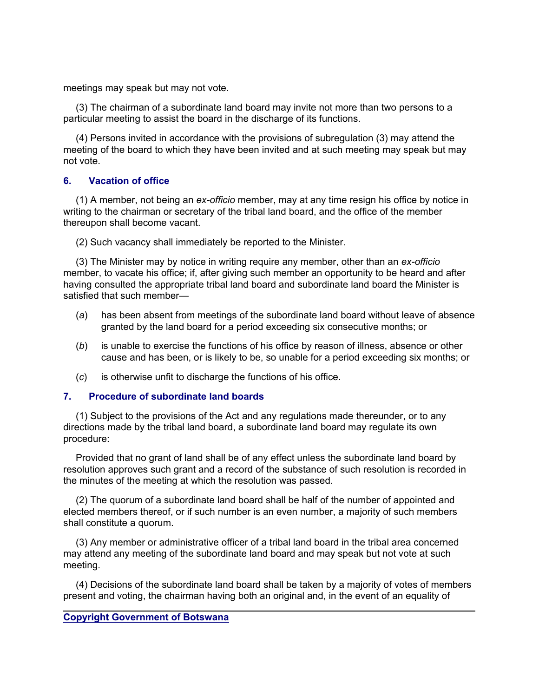meetings may speak but may not vote.

 (3) The chairman of a subordinate land board may invite not more than two persons to a particular meeting to assist the board in the discharge of its functions.

 (4) Persons invited in accordance with the provisions of subregulation (3) may attend the meeting of the board to which they have been invited and at such meeting may speak but may not vote.

# **6. Vacation of office**

 (1) A member, not being an *ex-officio* member, may at any time resign his office by notice in writing to the chairman or secretary of the tribal land board, and the office of the member thereupon shall become vacant.

(2) Such vacancy shall immediately be reported to the Minister.

 (3) The Minister may by notice in writing require any member, other than an *ex-officio* member, to vacate his office; if, after giving such member an opportunity to be heard and after having consulted the appropriate tribal land board and subordinate land board the Minister is satisfied that such member—

- (*a*) has been absent from meetings of the subordinate land board without leave of absence granted by the land board for a period exceeding six consecutive months; or
- (*b*) is unable to exercise the functions of his office by reason of illness, absence or other cause and has been, or is likely to be, so unable for a period exceeding six months; or
- (*c*) is otherwise unfit to discharge the functions of his office.

# **7. Procedure of subordinate land boards**

 (1) Subject to the provisions of the Act and any regulations made thereunder, or to any directions made by the tribal land board, a subordinate land board may regulate its own procedure:

 Provided that no grant of land shall be of any effect unless the subordinate land board by resolution approves such grant and a record of the substance of such resolution is recorded in the minutes of the meeting at which the resolution was passed.

 (2) The quorum of a subordinate land board shall be half of the number of appointed and elected members thereof, or if such number is an even number, a majority of such members shall constitute a quorum.

 (3) Any member or administrative officer of a tribal land board in the tribal area concerned may attend any meeting of the subordinate land board and may speak but not vote at such meeting.

 (4) Decisions of the subordinate land board shall be taken by a majority of votes of members present and voting, the chairman having both an original and, in the event of an equality of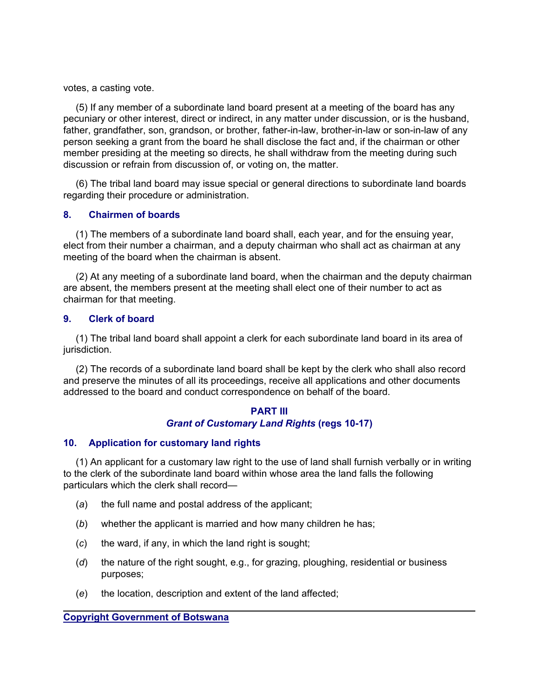votes, a casting vote.

 (5) If any member of a subordinate land board present at a meeting of the board has any pecuniary or other interest, direct or indirect, in any matter under discussion, or is the husband, father, grandfather, son, grandson, or brother, father-in-law, brother-in-law or son-in-law of any person seeking a grant from the board he shall disclose the fact and, if the chairman or other member presiding at the meeting so directs, he shall withdraw from the meeting during such discussion or refrain from discussion of, or voting on, the matter.

 (6) The tribal land board may issue special or general directions to subordinate land boards regarding their procedure or administration.

# **8. Chairmen of boards**

 (1) The members of a subordinate land board shall, each year, and for the ensuing year, elect from their number a chairman, and a deputy chairman who shall act as chairman at any meeting of the board when the chairman is absent.

 (2) At any meeting of a subordinate land board, when the chairman and the deputy chairman are absent, the members present at the meeting shall elect one of their number to act as chairman for that meeting.

# **9. Clerk of board**

 (1) The tribal land board shall appoint a clerk for each subordinate land board in its area of jurisdiction.

 (2) The records of a subordinate land board shall be kept by the clerk who shall also record and preserve the minutes of all its proceedings, receive all applications and other documents addressed to the board and conduct correspondence on behalf of the board.

# **PART III** *Grant of Customary Land Rights* **(regs 10-17)**

# **10. Application for customary land rights**

 (1) An applicant for a customary law right to the use of land shall furnish verbally or in writing to the clerk of the subordinate land board within whose area the land falls the following particulars which the clerk shall record—

- (*a*) the full name and postal address of the applicant;
- (*b*) whether the applicant is married and how many children he has;
- (*c*) the ward, if any, in which the land right is sought;
- (*d*) the nature of the right sought, e.g., for grazing, ploughing, residential or business purposes;
- (*e*) the location, description and extent of the land affected;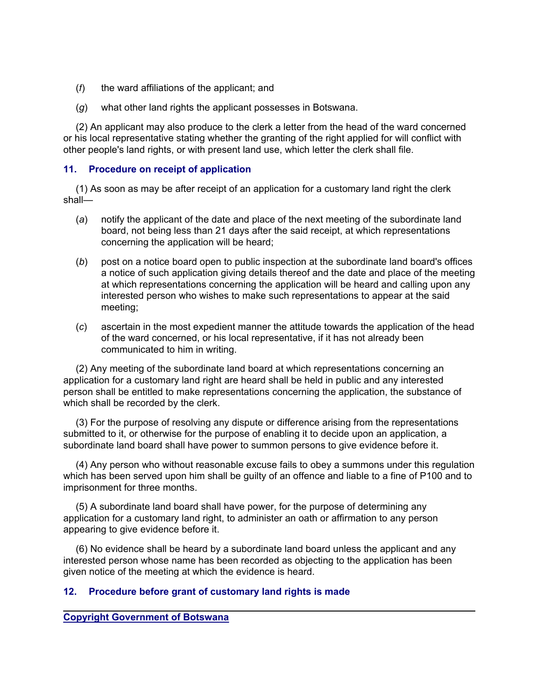- (*f*) the ward affiliations of the applicant; and
- (*g*) what other land rights the applicant possesses in Botswana.

 (2) An applicant may also produce to the clerk a letter from the head of the ward concerned or his local representative stating whether the granting of the right applied for will conflict with other people's land rights, or with present land use, which letter the clerk shall file.

# **11. Procedure on receipt of application**

 (1) As soon as may be after receipt of an application for a customary land right the clerk shall—

- (*a*) notify the applicant of the date and place of the next meeting of the subordinate land board, not being less than 21 days after the said receipt, at which representations concerning the application will be heard;
- (*b*) post on a notice board open to public inspection at the subordinate land board's offices a notice of such application giving details thereof and the date and place of the meeting at which representations concerning the application will be heard and calling upon any interested person who wishes to make such representations to appear at the said meeting;
- (*c*) ascertain in the most expedient manner the attitude towards the application of the head of the ward concerned, or his local representative, if it has not already been communicated to him in writing.

 (2) Any meeting of the subordinate land board at which representations concerning an application for a customary land right are heard shall be held in public and any interested person shall be entitled to make representations concerning the application, the substance of which shall be recorded by the clerk.

 (3) For the purpose of resolving any dispute or difference arising from the representations submitted to it, or otherwise for the purpose of enabling it to decide upon an application, a subordinate land board shall have power to summon persons to give evidence before it.

 (4) Any person who without reasonable excuse fails to obey a summons under this regulation which has been served upon him shall be guilty of an offence and liable to a fine of P100 and to imprisonment for three months.

 (5) A subordinate land board shall have power, for the purpose of determining any application for a customary land right, to administer an oath or affirmation to any person appearing to give evidence before it.

 (6) No evidence shall be heard by a subordinate land board unless the applicant and any interested person whose name has been recorded as objecting to the application has been given notice of the meeting at which the evidence is heard.

# **12. Procedure before grant of customary land rights is made**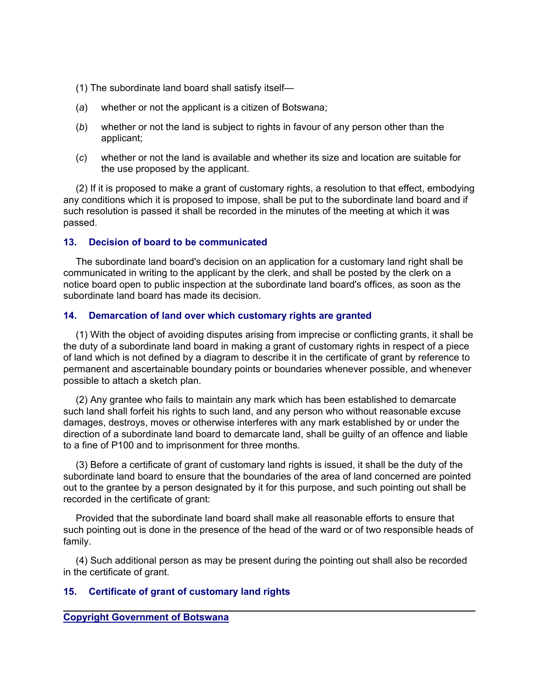- (1) The subordinate land board shall satisfy itself—
- (*a*) whether or not the applicant is a citizen of Botswana;
- (*b*) whether or not the land is subject to rights in favour of any person other than the applicant;
- (*c*) whether or not the land is available and whether its size and location are suitable for the use proposed by the applicant.

 (2) If it is proposed to make a grant of customary rights, a resolution to that effect, embodying any conditions which it is proposed to impose, shall be put to the subordinate land board and if such resolution is passed it shall be recorded in the minutes of the meeting at which it was passed.

# **13. Decision of board to be communicated**

 The subordinate land board's decision on an application for a customary land right shall be communicated in writing to the applicant by the clerk, and shall be posted by the clerk on a notice board open to public inspection at the subordinate land board's offices, as soon as the subordinate land board has made its decision.

# **14. Demarcation of land over which customary rights are granted**

 (1) With the object of avoiding disputes arising from imprecise or conflicting grants, it shall be the duty of a subordinate land board in making a grant of customary rights in respect of a piece of land which is not defined by a diagram to describe it in the certificate of grant by reference to permanent and ascertainable boundary points or boundaries whenever possible, and whenever possible to attach a sketch plan.

 (2) Any grantee who fails to maintain any mark which has been established to demarcate such land shall forfeit his rights to such land, and any person who without reasonable excuse damages, destroys, moves or otherwise interferes with any mark established by or under the direction of a subordinate land board to demarcate land, shall be guilty of an offence and liable to a fine of P100 and to imprisonment for three months.

 (3) Before a certificate of grant of customary land rights is issued, it shall be the duty of the subordinate land board to ensure that the boundaries of the area of land concerned are pointed out to the grantee by a person designated by it for this purpose, and such pointing out shall be recorded in the certificate of grant:

 Provided that the subordinate land board shall make all reasonable efforts to ensure that such pointing out is done in the presence of the head of the ward or of two responsible heads of family.

 (4) Such additional person as may be present during the pointing out shall also be recorded in the certificate of grant.

#### **15. Certificate of grant of customary land rights**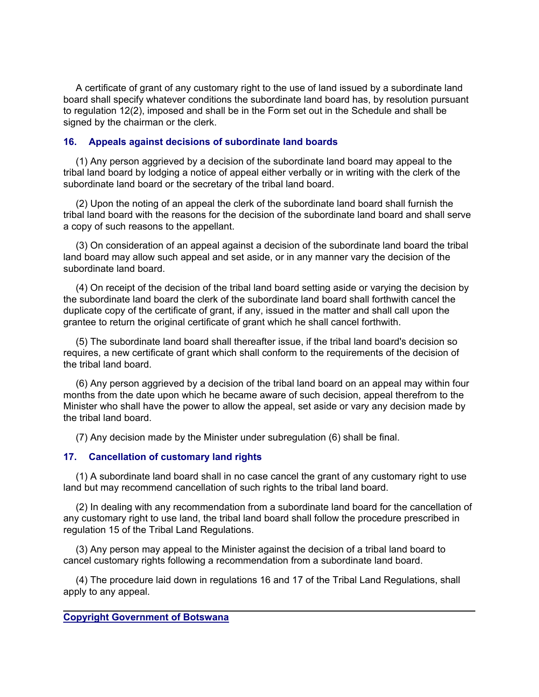A certificate of grant of any customary right to the use of land issued by a subordinate land board shall specify whatever conditions the subordinate land board has, by resolution pursuant to regulation 12(2), imposed and shall be in the Form set out in the Schedule and shall be signed by the chairman or the clerk.

# **16. Appeals against decisions of subordinate land boards**

 (1) Any person aggrieved by a decision of the subordinate land board may appeal to the tribal land board by lodging a notice of appeal either verbally or in writing with the clerk of the subordinate land board or the secretary of the tribal land board.

 (2) Upon the noting of an appeal the clerk of the subordinate land board shall furnish the tribal land board with the reasons for the decision of the subordinate land board and shall serve a copy of such reasons to the appellant.

 (3) On consideration of an appeal against a decision of the subordinate land board the tribal land board may allow such appeal and set aside, or in any manner vary the decision of the subordinate land board.

 (4) On receipt of the decision of the tribal land board setting aside or varying the decision by the subordinate land board the clerk of the subordinate land board shall forthwith cancel the duplicate copy of the certificate of grant, if any, issued in the matter and shall call upon the grantee to return the original certificate of grant which he shall cancel forthwith.

 (5) The subordinate land board shall thereafter issue, if the tribal land board's decision so requires, a new certificate of grant which shall conform to the requirements of the decision of the tribal land board.

 (6) Any person aggrieved by a decision of the tribal land board on an appeal may within four months from the date upon which he became aware of such decision, appeal therefrom to the Minister who shall have the power to allow the appeal, set aside or vary any decision made by the tribal land board.

(7) Any decision made by the Minister under subregulation (6) shall be final.

# **17. Cancellation of customary land rights**

 (1) A subordinate land board shall in no case cancel the grant of any customary right to use land but may recommend cancellation of such rights to the tribal land board.

 (2) In dealing with any recommendation from a subordinate land board for the cancellation of any customary right to use land, the tribal land board shall follow the procedure prescribed in regulation 15 of the Tribal Land Regulations.

 (3) Any person may appeal to the Minister against the decision of a tribal land board to cancel customary rights following a recommendation from a subordinate land board.

 (4) The procedure laid down in regulations 16 and 17 of the Tribal Land Regulations, shall apply to any appeal.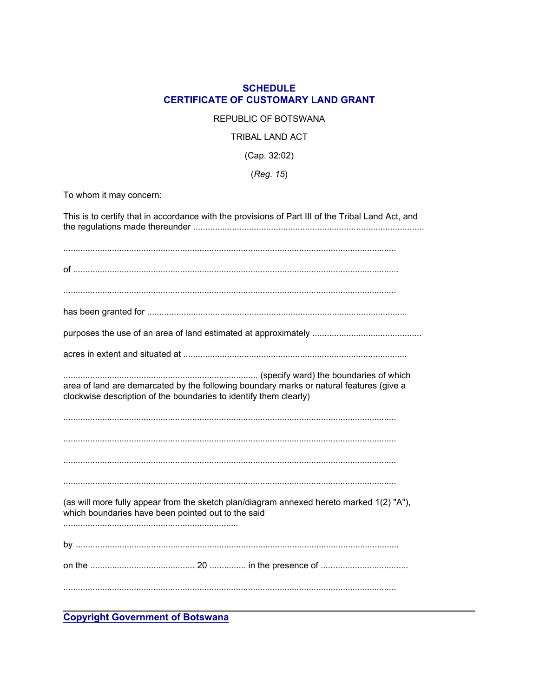# **SCHEDULE CERTIFICATE OF CUSTOMARY LAND GRANT**

#### REPUBLIC OF BOTSWANA

#### TRIBAL LAND ACT

# $(Cap. 32:02)$

# (Reg. 15)

To whom it may concern:

| This is to certify that in accordance with the provisions of Part III of the Tribal Land Act, and                                                            |
|--------------------------------------------------------------------------------------------------------------------------------------------------------------|
|                                                                                                                                                              |
|                                                                                                                                                              |
|                                                                                                                                                              |
|                                                                                                                                                              |
| area of land are demarcated by the following boundary marks or natural features (give a<br>clockwise description of the boundaries to identify them clearly) |
|                                                                                                                                                              |
|                                                                                                                                                              |
|                                                                                                                                                              |
| (as will more fully appear from the sketch plan/diagram annexed hereto marked 1(2) "A"),<br>which boundaries have been pointed out to the said               |
|                                                                                                                                                              |
|                                                                                                                                                              |
|                                                                                                                                                              |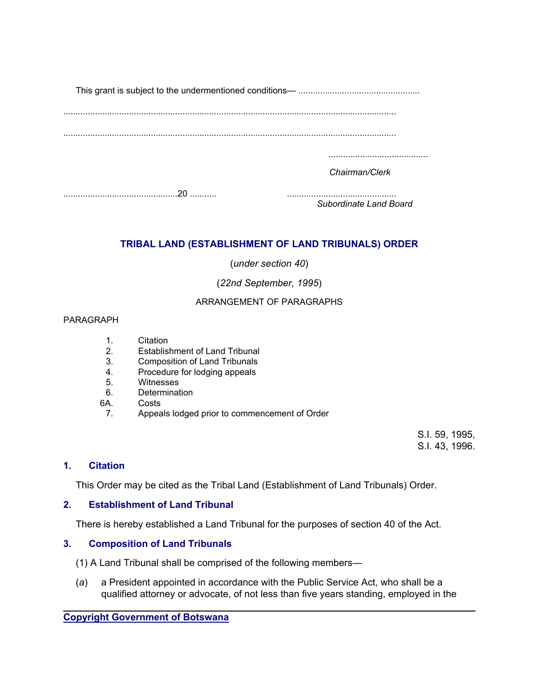This grant is subject to the undermentioned conditions— ..................................................

.........................................................................................................................................

.........................................................................................................................................

.........................................

*Chairman/Clerk*

...............................................20 ........... .............................................

*Subordinate Land Board*

# **TRIBAL LAND (ESTABLISHMENT OF LAND TRIBUNALS) ORDER**

(*under section 40*)

(*22nd September, 1995*)

# ARRANGEMENT OF PARAGRAPHS

# PARAGRAPH

- 1. Citation
- 2. Establishment of Land Tribunal
- 3. Composition of Land Tribunals
- 4. Procedure for lodging appeals
- 5. Witnesses
- 6. Determination
- 6A. Costs
- 7. Appeals lodged prior to commencement of Order

S.I. 59, 1995, S.I. 43, 1996.

# **1. Citation**

This Order may be cited as the Tribal Land (Establishment of Land Tribunals) Order.

# **2. Establishment of Land Tribunal**

There is hereby established a Land Tribunal for the purposes of section 40 of the Act.

# **3. Composition of Land Tribunals**

- (1) A Land Tribunal shall be comprised of the following members—
- (*a*) a President appointed in accordance with the Public Service Act, who shall be a qualified attorney or advocate, of not less than five years standing, employed in the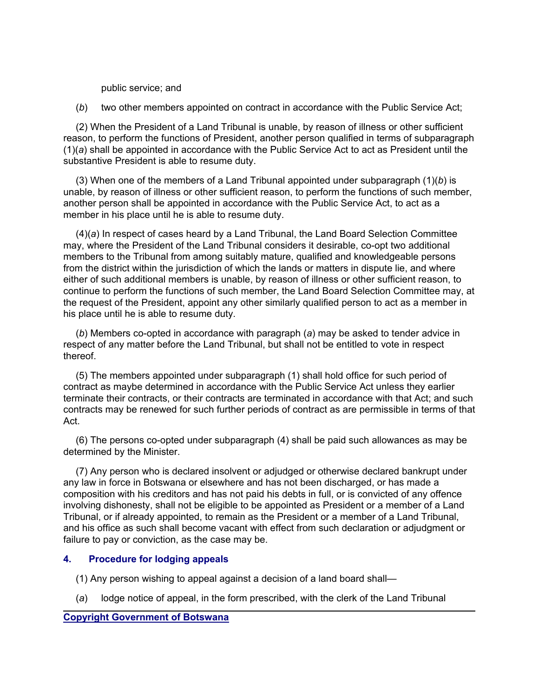public service; and

(*b*) two other members appointed on contract in accordance with the Public Service Act;

 (2) When the President of a Land Tribunal is unable, by reason of illness or other sufficient reason, to perform the functions of President, another person qualified in terms of subparagraph (1)(*a*) shall be appointed in accordance with the Public Service Act to act as President until the substantive President is able to resume duty.

 (3) When one of the members of a Land Tribunal appointed under subparagraph (1)(*b*) is unable, by reason of illness or other sufficient reason, to perform the functions of such member, another person shall be appointed in accordance with the Public Service Act, to act as a member in his place until he is able to resume duty.

 (4)(*a*) In respect of cases heard by a Land Tribunal, the Land Board Selection Committee may, where the President of the Land Tribunal considers it desirable, co-opt two additional members to the Tribunal from among suitably mature, qualified and knowledgeable persons from the district within the jurisdiction of which the lands or matters in dispute lie, and where either of such additional members is unable, by reason of illness or other sufficient reason, to continue to perform the functions of such member, the Land Board Selection Committee may, at the request of the President, appoint any other similarly qualified person to act as a member in his place until he is able to resume duty.

 (*b*) Members co-opted in accordance with paragraph (*a*) may be asked to tender advice in respect of any matter before the Land Tribunal, but shall not be entitled to vote in respect thereof.

 (5) The members appointed under subparagraph (1) shall hold office for such period of contract as maybe determined in accordance with the Public Service Act unless they earlier terminate their contracts, or their contracts are terminated in accordance with that Act; and such contracts may be renewed for such further periods of contract as are permissible in terms of that Act.

 (6) The persons co-opted under subparagraph (4) shall be paid such allowances as may be determined by the Minister.

 (7) Any person who is declared insolvent or adjudged or otherwise declared bankrupt under any law in force in Botswana or elsewhere and has not been discharged, or has made a composition with his creditors and has not paid his debts in full, or is convicted of any offence involving dishonesty, shall not be eligible to be appointed as President or a member of a Land Tribunal, or if already appointed, to remain as the President or a member of a Land Tribunal, and his office as such shall become vacant with effect from such declaration or adjudgment or failure to pay or conviction, as the case may be.

# **4. Procedure for lodging appeals**

- (1) Any person wishing to appeal against a decision of a land board shall—
- (*a*) lodge notice of appeal, in the form prescribed, with the clerk of the Land Tribunal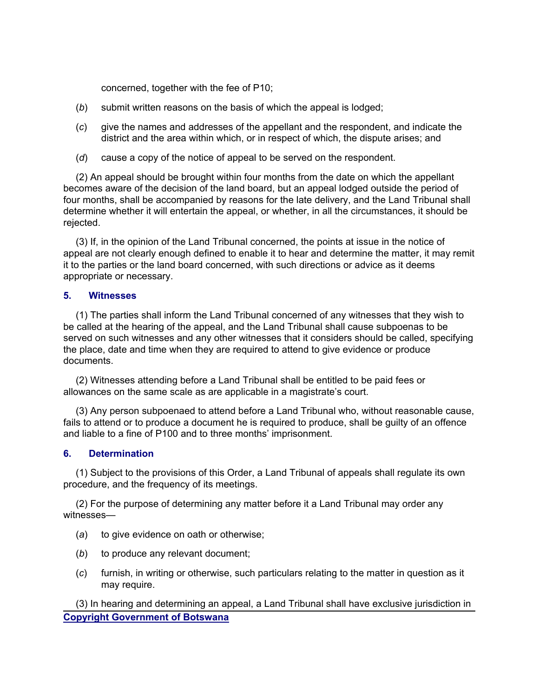concerned, together with the fee of P10;

- (*b*) submit written reasons on the basis of which the appeal is lodged;
- (*c*) give the names and addresses of the appellant and the respondent, and indicate the district and the area within which, or in respect of which, the dispute arises; and
- (*d*) cause a copy of the notice of appeal to be served on the respondent.

 (2) An appeal should be brought within four months from the date on which the appellant becomes aware of the decision of the land board, but an appeal lodged outside the period of four months, shall be accompanied by reasons for the late delivery, and the Land Tribunal shall determine whether it will entertain the appeal, or whether, in all the circumstances, it should be rejected.

 (3) If, in the opinion of the Land Tribunal concerned, the points at issue in the notice of appeal are not clearly enough defined to enable it to hear and determine the matter, it may remit it to the parties or the land board concerned, with such directions or advice as it deems appropriate or necessary.

#### **5. Witnesses**

 (1) The parties shall inform the Land Tribunal concerned of any witnesses that they wish to be called at the hearing of the appeal, and the Land Tribunal shall cause subpoenas to be served on such witnesses and any other witnesses that it considers should be called, specifying the place, date and time when they are required to attend to give evidence or produce documents.

 (2) Witnesses attending before a Land Tribunal shall be entitled to be paid fees or allowances on the same scale as are applicable in a magistrate's court.

 (3) Any person subpoenaed to attend before a Land Tribunal who, without reasonable cause, fails to attend or to produce a document he is required to produce, shall be guilty of an offence and liable to a fine of P100 and to three months' imprisonment.

#### **6. Determination**

 (1) Subject to the provisions of this Order, a Land Tribunal of appeals shall regulate its own procedure, and the frequency of its meetings.

 (2) For the purpose of determining any matter before it a Land Tribunal may order any witnesses—

- (*a*) to give evidence on oath or otherwise;
- (*b*) to produce any relevant document;
- (*c*) furnish, in writing or otherwise, such particulars relating to the matter in question as it may require.

**Copyright Government of Botswana** (3) In hearing and determining an appeal, a Land Tribunal shall have exclusive jurisdiction in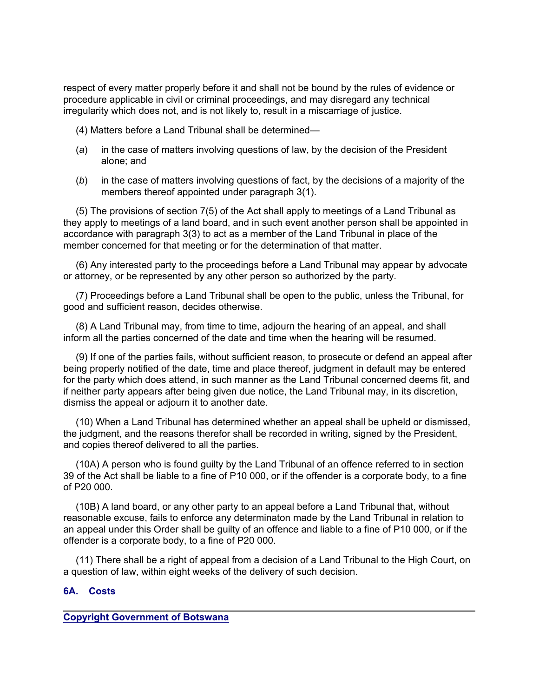respect of every matter properly before it and shall not be bound by the rules of evidence or procedure applicable in civil or criminal proceedings, and may disregard any technical irregularity which does not, and is not likely to, result in a miscarriage of justice.

(4) Matters before a Land Tribunal shall be determined—

- (*a*) in the case of matters involving questions of law, by the decision of the President alone; and
- (*b*) in the case of matters involving questions of fact, by the decisions of a majority of the members thereof appointed under paragraph 3(1).

 (5) The provisions of section 7(5) of the Act shall apply to meetings of a Land Tribunal as they apply to meetings of a land board, and in such event another person shall be appointed in accordance with paragraph 3(3) to act as a member of the Land Tribunal in place of the member concerned for that meeting or for the determination of that matter.

 (6) Any interested party to the proceedings before a Land Tribunal may appear by advocate or attorney, or be represented by any other person so authorized by the party.

 (7) Proceedings before a Land Tribunal shall be open to the public, unless the Tribunal, for good and sufficient reason, decides otherwise.

 (8) A Land Tribunal may, from time to time, adjourn the hearing of an appeal, and shall inform all the parties concerned of the date and time when the hearing will be resumed.

 (9) If one of the parties fails, without sufficient reason, to prosecute or defend an appeal after being properly notified of the date, time and place thereof, judgment in default may be entered for the party which does attend, in such manner as the Land Tribunal concerned deems fit, and if neither party appears after being given due notice, the Land Tribunal may, in its discretion, dismiss the appeal or adjourn it to another date.

 (10) When a Land Tribunal has determined whether an appeal shall be upheld or dismissed, the judgment, and the reasons therefor shall be recorded in writing, signed by the President, and copies thereof delivered to all the parties.

 (10A) A person who is found guilty by the Land Tribunal of an offence referred to in section 39 of the Act shall be liable to a fine of P10 000, or if the offender is a corporate body, to a fine of P20 000.

 (10B) A land board, or any other party to an appeal before a Land Tribunal that, without reasonable excuse, fails to enforce any determinaton made by the Land Tribunal in relation to an appeal under this Order shall be guilty of an offence and liable to a fine of P10 000, or if the offender is a corporate body, to a fine of P20 000.

 (11) There shall be a right of appeal from a decision of a Land Tribunal to the High Court, on a question of law, within eight weeks of the delivery of such decision.

# **6A. Costs**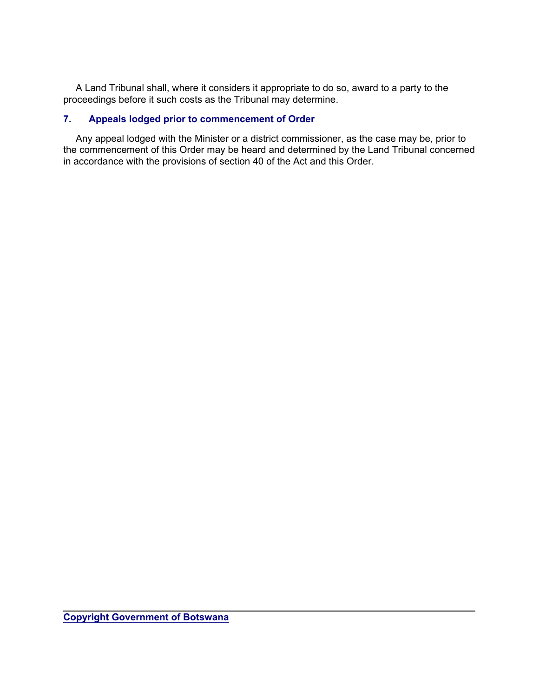A Land Tribunal shall, where it considers it appropriate to do so, award to a party to the proceedings before it such costs as the Tribunal may determine.

# **7. Appeals lodged prior to commencement of Order**

 Any appeal lodged with the Minister or a district commissioner, as the case may be, prior to the commencement of this Order may be heard and determined by the Land Tribunal concerned in accordance with the provisions of section 40 of the Act and this Order.